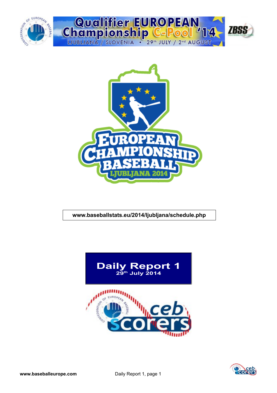



### **www.baseballstats.eu/2014/ljubljana/schedule.php**



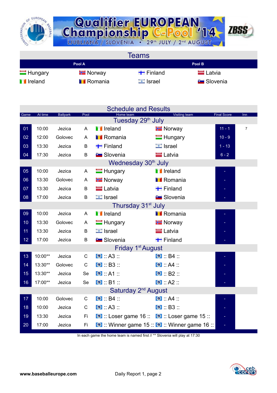



**Teams Pool A Pool B** Hungary Finland Finland Latvia **I** Ireland **I** Romania **I** Israel Slovenia

|                 |         |                 |      | <b>Schedule and Results</b>                        |                                               |                    |                |
|-----------------|---------|-----------------|------|----------------------------------------------------|-----------------------------------------------|--------------------|----------------|
| Game            | At time | <b>Ballpark</b> | Pool | Home team<br>Tuesday 29 <sup>th</sup> July         | <b>Visiting team</b>                          | <b>Final Score</b> | Inn            |
| 01              | 10:00   | Jezica          | A    | <b>T</b> Ireland                                   | <b>E</b> Norway                               | $11 - 1$           | $\overline{7}$ |
| 02              | 12:00   | Golovec         | A    | <b>Romania</b>                                     | $\blacksquare$ Hungary                        | $10 - 9$           |                |
| 03              | 13:30   | Jezica          | B    | $\blacksquare$ Finland                             | $\Box$ Israel                                 | $1 - 13$           |                |
| 04              | 17:30   | Jezica          | B    | <b>E</b> Slovenia                                  | <b>Latvia</b>                                 | $6 - 2$            |                |
|                 |         |                 |      | Wednesday 30 <sup>th</sup> July                    |                                               |                    |                |
| 05              | 10:00   | Jezica          | A    | $\blacksquare$ Hungary                             | <b>I</b> Ireland                              |                    |                |
| 06              | 13:30   | Golovec         | Α    | <b>E</b> Norway                                    | <b>Romania</b>                                |                    |                |
| 07              | 13:30   | Jezica          | B    | $=$ Latvia                                         | $\blacksquare$ Finland                        |                    |                |
| $\overline{08}$ | 17:00   | Jezica          | B    | $\Box$ Israel                                      | <b>Slovenia</b>                               |                    |                |
|                 |         |                 |      | Thursday 31 <sup>st</sup> July                     |                                               |                    |                |
| 09              | 10:00   | Jezica          | A    | <b>T</b> Ireland                                   | <b>I</b> Romania                              |                    |                |
| 10              | 13:30   | Golovec         | A    | $\blacksquare$ Hungary                             | <b>T</b> Norway                               |                    |                |
| 11              | 13:30   | Jezica          | B    | $\Box$ Israel                                      | <b>E</b> Latvia                               |                    |                |
| 12              | 17:00   | Jezica          | B    | <b>Contract Slovenia</b>                           | $\blacksquare$ Finland                        |                    |                |
|                 |         |                 |      | Friday 1 <sup>st</sup> August                      |                                               |                    |                |
| 13              | 10:00** | Jezica          | C    | $\bullet$ : A3 ::                                  | $\bullet$ $B4$                                |                    |                |
| 14              | 13:30** | Golovec         | C    | $\bullet$ : B3 ::                                  | $\bullet$ $AA$                                |                    |                |
| 15              | 13:30** | Jezica          | Se   | $\bullet$ $A1$                                     | $\bullet$ : B2 ::                             |                    |                |
| 16              | 17:00** | Jezica          | Se   | $\bullet$ : B1 ::                                  | $\bullet$ : A2 ::                             |                    |                |
|                 |         |                 |      | Saturday 2 <sup>nd</sup> August                    |                                               |                    |                |
| 17              | 10:00   | Golovec         | C    | $\bullet$ : B4 ::                                  | $\bullet$ : A4 ::                             |                    |                |
| 18              | 10:00   | Jezica          | C    | $\bullet$ : A3 ::                                  | $\bullet$ : B3 :                              |                    |                |
| 19              | 13:30   | Jezica          | Fi.  | <b>O</b> :: Loser game 16 :: 0 :: Loser game 15 :: |                                               |                    |                |
| 20              | 17:00   | Jezica          | Fi   |                                                    | O :: Winner game 15 :: O :: Winner game 16 :: |                    |                |

In each game the home team is named first // \*\* Slovenia will play at 17:30

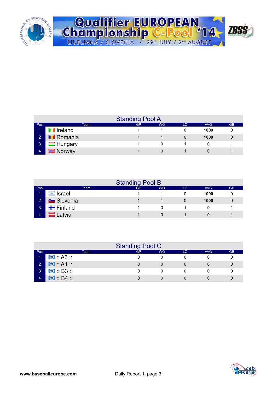

|  | Qualifier EUROPEAN<br>Championship C-Pool '14 2BSS |  |
|--|----------------------------------------------------|--|
|  |                                                    |  |
|  | LJUBLJANA / SLOVENIA . 29th JULY / 2nd AUGUST      |  |

|                |                        | <b>Standing Pool A</b> |           |    |      |           |
|----------------|------------------------|------------------------|-----------|----|------|-----------|
| Pos            | Team                   | GP                     | <b>WO</b> | LO | AVG  | <b>GB</b> |
| ъ              | <b>I</b> Ireland       |                        |           |    | 1000 |           |
| $\overline{2}$ | <b>TRomania</b>        |                        |           |    | 1000 |           |
| $\mathbf{3}$   | $\blacksquare$ Hungary |                        |           |    |      |           |
| $\overline{4}$ | <b>Norway</b>          |                        |           |    |      |           |

|                 |                        |      | <b>Standing Pool B</b> |           |    |            |           |
|-----------------|------------------------|------|------------------------|-----------|----|------------|-----------|
| Pos             |                        | Team | GP                     | <b>WO</b> | LO | <b>AVG</b> | <b>GB</b> |
|                 | <b><u></u></b> Israel  |      |                        |           |    | 1000       |           |
| $\mathbf{2}$    | <b>E</b> Slovenia      |      |                        |           |    | 1000       | 0         |
| $\vert 3 \vert$ | $\blacksquare$ Finland |      |                        |           |    |            |           |
| 4               | Latvia                 |      |                        |           |    |            |           |

|                |                        |      | <b>Standing Pool C</b> |           |    |     |           |
|----------------|------------------------|------|------------------------|-----------|----|-----|-----------|
| Pos            |                        | Team | GP                     | <b>WO</b> | LO | AVG | <b>GB</b> |
|                | $\bullet$ A3           |      |                        |           |    |     |           |
| $\overline{2}$ | $\bullet$ A4           |      |                        |           |    |     |           |
| $\mathbf{3}$   | $\bullet$ B3           |      |                        |           |    |     |           |
|                | $\bullet$ B4 $\bullet$ |      |                        |           |    |     |           |

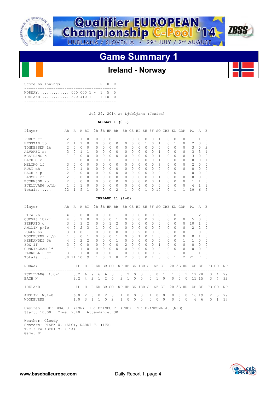



## **Ireland - Norway**

| Score by Innings                                          |  |  | R H F. |  |
|-----------------------------------------------------------|--|--|--------|--|
| NORWAY 000 000 $1 - 1 5 5$<br>TRELAND 320 410 1 - 11 10 0 |  |  |        |  |
|                                                           |  |  |        |  |

Jul 29, 2014 at Ljubljana (Jezica)

### **NORWAY 1 (0-1)**

| 1<br>$\Omega$<br>$\mathbf{1}$<br>0<br>$\Omega$<br>$\Omega$<br>1<br>1<br>$\Omega$<br>$\Omega$<br>$\Omega$<br>0<br>0<br>$\Omega$<br>$2 \quad 0 \quad 0$<br>0<br>$\mathbf{1}$<br>0<br>$\mathbf{1}$<br>H BI<br>$\Omega$<br>1<br>$\Omega$<br>3<br>$\mathbf{2}$ | $\Omega$<br>0<br>0<br>$\Omega$<br>0<br>$\Omega$<br>$\Omega$<br>0<br>0<br>$\Omega$<br>$\circ$<br>$\circ$<br>$\Omega$<br>$\Omega$<br>0<br>$\circ$ | 0<br>0<br>0<br>$\Omega$<br>$\Omega$<br>0<br>$\Omega$<br>$\Omega$<br>$\mathbf{0}$<br>$\Omega$<br>0<br>$\mathbf 0$<br>$\Omega$<br>0<br>$\Omega$ | $\Omega$<br>0<br>0<br>$\Omega$<br>0<br>$\Omega$<br>$\Omega$<br>0<br>0<br>0<br>$\circ$<br>$\Omega$<br>$\Omega$ | 1<br>$\Omega$<br>$\Omega$<br>$\Omega$<br>$\Omega$<br>$\mathbf{1}$<br>$\Omega$<br>$\Omega$<br>$\mathbf 0$<br>$\Omega$<br>$0\quad 0$<br>0<br>$\overline{c}$<br>IRELAND $11$ $(1-0)$<br>1 | 1<br>$\Omega$<br>$\Omega$<br>$\Omega$<br>$\Omega$<br>$\Omega$<br>$\Omega$<br>0<br>$\circ$<br>$\Omega$<br>$\circ$<br>0<br>$\mathbf{1}$<br>$\Omega$ | O<br>$\circ$<br>0<br>0<br>0<br>$\Omega$<br>$\Omega$<br>$\Omega$<br>0<br>$\Omega$<br>$\circ$<br>$\circ$<br>$\Omega$ | <sup>0</sup><br>0<br>$\Omega$<br>0<br>$\circ$<br>$\Omega$<br>$\Omega$<br>$\Omega$<br>$\circ$<br>$\Omega$<br>$\overline{0}$<br>$\circ$<br>$\Omega$ | $\Omega$<br>$\mathbf{1}$<br>$\Omega$<br>$\Omega$<br>$\Omega$<br>$\Omega$<br>$\Omega$<br>$\Omega$<br>$\Omega$<br>$\Omega$<br>$\circ$<br>$\mathbf{0}$<br>$\mathbf{1}$ | $\Omega$<br>0<br>$\Omega$<br>$\Omega$<br>$\Omega$<br>$\Omega$<br>$\Omega$<br>$\Omega$<br>$\Omega$<br>$\Omega$<br>$\circ$<br>$\circ$ | 1<br>1<br>$\Omega$<br>$\mathbf{1}$<br>$\mathbf{1}$<br>$\mathbf{1}$<br>3<br>$\Omega$<br>$\Omega$<br>$\mathbf{1}$<br>1<br>$\circ$<br>0, 10 | <sup>0</sup><br>$\circ$<br>$\Omega$<br>$\Omega$<br>$\Omega$<br>$\Omega$<br>$\Omega$<br>$\Omega$<br>$\Omega$<br>$\cap$<br>$\circ$<br>$\Omega$<br>$\Omega$ | 0<br>$\mathbf{1}$<br>$\Omega$<br>$\Omega$<br>$\Omega$<br>$\Omega$<br>$\Omega$<br>$\Omega$<br>0<br>$\Omega$<br>$\bigcirc$<br>$\circ$<br>$\mathbf{1}$ |                                                                                                                                                      | 0<br>0<br>0<br>$\Omega$<br>$\Omega$<br>$\Omega$<br>$\Omega$<br>$\Omega$<br>$\mathbf{1}$<br>$\Omega$<br>$\circ$<br>$\mathbf{0}$<br>$\mathbf{1}$ | 1<br>2<br>$3 \quad 0$<br>3 <sup>3</sup><br>3<br>$\Omega$<br>2<br>$\Omega$<br>$\circ$<br>$\Omega$<br>$\mathbf{1}$<br>4<br>19<br>2B 3B HR BB SB CS HP SH SF SO IBB KL GDP PO A E | 1.<br>$\circ$<br>$\overline{0}$<br>$\overline{0}$<br>$\bigcirc$<br>$\circ$<br>$\overline{0}$<br>$\overline{0}$<br>$\overline{1}$<br>$\overline{1}$<br>6 | $\Omega$<br>$\mathbf 0$<br>$\overline{c}$<br>$\mathbf{1}$<br>$\Omega$<br>$\mathbf{1}$<br>$\Omega$<br>$\Omega$<br>$\Omega$<br>$\Omega$<br>0<br>$\mathbf{1}$<br>5<br>$ -$ |                                                              |                                         |
|-----------------------------------------------------------------------------------------------------------------------------------------------------------------------------------------------------------------------------------------------------------|-------------------------------------------------------------------------------------------------------------------------------------------------|-----------------------------------------------------------------------------------------------------------------------------------------------|---------------------------------------------------------------------------------------------------------------|----------------------------------------------------------------------------------------------------------------------------------------------------------------------------------------|---------------------------------------------------------------------------------------------------------------------------------------------------|--------------------------------------------------------------------------------------------------------------------|---------------------------------------------------------------------------------------------------------------------------------------------------|---------------------------------------------------------------------------------------------------------------------------------------------------------------------|-------------------------------------------------------------------------------------------------------------------------------------|------------------------------------------------------------------------------------------------------------------------------------------|----------------------------------------------------------------------------------------------------------------------------------------------------------|-----------------------------------------------------------------------------------------------------------------------------------------------------|------------------------------------------------------------------------------------------------------------------------------------------------------|------------------------------------------------------------------------------------------------------------------------------------------------|--------------------------------------------------------------------------------------------------------------------------------------------------------------------------------|---------------------------------------------------------------------------------------------------------------------------------------------------------|-------------------------------------------------------------------------------------------------------------------------------------------------------------------------|--------------------------------------------------------------|-----------------------------------------|
|                                                                                                                                                                                                                                                           |                                                                                                                                                 |                                                                                                                                               |                                                                                                               |                                                                                                                                                                                        |                                                                                                                                                   |                                                                                                                    |                                                                                                                                                   |                                                                                                                                                                     |                                                                                                                                     |                                                                                                                                          |                                                                                                                                                          |                                                                                                                                                     |                                                                                                                                                      |                                                                                                                                                |                                                                                                                                                                                |                                                                                                                                                         |                                                                                                                                                                         |                                                              |                                         |
|                                                                                                                                                                                                                                                           |                                                                                                                                                 |                                                                                                                                               |                                                                                                               |                                                                                                                                                                                        |                                                                                                                                                   |                                                                                                                    |                                                                                                                                                   |                                                                                                                                                                     |                                                                                                                                     |                                                                                                                                          |                                                                                                                                                          |                                                                                                                                                     |                                                                                                                                                      |                                                                                                                                                |                                                                                                                                                                                |                                                                                                                                                         |                                                                                                                                                                         |                                                              |                                         |
|                                                                                                                                                                                                                                                           |                                                                                                                                                 |                                                                                                                                               |                                                                                                               |                                                                                                                                                                                        |                                                                                                                                                   |                                                                                                                    |                                                                                                                                                   |                                                                                                                                                                     |                                                                                                                                     |                                                                                                                                          |                                                                                                                                                          |                                                                                                                                                     |                                                                                                                                                      |                                                                                                                                                |                                                                                                                                                                                |                                                                                                                                                         |                                                                                                                                                                         |                                                              |                                         |
|                                                                                                                                                                                                                                                           |                                                                                                                                                 |                                                                                                                                               |                                                                                                               |                                                                                                                                                                                        |                                                                                                                                                   |                                                                                                                    |                                                                                                                                                   |                                                                                                                                                                     |                                                                                                                                     |                                                                                                                                          |                                                                                                                                                          |                                                                                                                                                     |                                                                                                                                                      |                                                                                                                                                |                                                                                                                                                                                |                                                                                                                                                         |                                                                                                                                                                         |                                                              |                                         |
|                                                                                                                                                                                                                                                           |                                                                                                                                                 |                                                                                                                                               |                                                                                                               |                                                                                                                                                                                        |                                                                                                                                                   |                                                                                                                    |                                                                                                                                                   |                                                                                                                                                                     |                                                                                                                                     |                                                                                                                                          |                                                                                                                                                          |                                                                                                                                                     |                                                                                                                                                      |                                                                                                                                                |                                                                                                                                                                                |                                                                                                                                                         |                                                                                                                                                                         |                                                              |                                         |
|                                                                                                                                                                                                                                                           |                                                                                                                                                 |                                                                                                                                               |                                                                                                               |                                                                                                                                                                                        |                                                                                                                                                   |                                                                                                                    |                                                                                                                                                   |                                                                                                                                                                     |                                                                                                                                     |                                                                                                                                          |                                                                                                                                                          |                                                                                                                                                     |                                                                                                                                                      |                                                                                                                                                |                                                                                                                                                                                |                                                                                                                                                         |                                                                                                                                                                         |                                                              |                                         |
|                                                                                                                                                                                                                                                           |                                                                                                                                                 |                                                                                                                                               |                                                                                                               |                                                                                                                                                                                        |                                                                                                                                                   |                                                                                                                    |                                                                                                                                                   |                                                                                                                                                                     |                                                                                                                                     |                                                                                                                                          |                                                                                                                                                          |                                                                                                                                                     |                                                                                                                                                      |                                                                                                                                                |                                                                                                                                                                                |                                                                                                                                                         |                                                                                                                                                                         |                                                              |                                         |
|                                                                                                                                                                                                                                                           |                                                                                                                                                 |                                                                                                                                               |                                                                                                               |                                                                                                                                                                                        |                                                                                                                                                   |                                                                                                                    |                                                                                                                                                   |                                                                                                                                                                     |                                                                                                                                     |                                                                                                                                          |                                                                                                                                                          |                                                                                                                                                     |                                                                                                                                                      |                                                                                                                                                |                                                                                                                                                                                |                                                                                                                                                         |                                                                                                                                                                         |                                                              |                                         |
|                                                                                                                                                                                                                                                           |                                                                                                                                                 |                                                                                                                                               |                                                                                                               |                                                                                                                                                                                        |                                                                                                                                                   |                                                                                                                    |                                                                                                                                                   |                                                                                                                                                                     |                                                                                                                                     |                                                                                                                                          |                                                                                                                                                          |                                                                                                                                                     |                                                                                                                                                      |                                                                                                                                                |                                                                                                                                                                                |                                                                                                                                                         |                                                                                                                                                                         |                                                              |                                         |
|                                                                                                                                                                                                                                                           |                                                                                                                                                 |                                                                                                                                               |                                                                                                               |                                                                                                                                                                                        |                                                                                                                                                   |                                                                                                                    |                                                                                                                                                   |                                                                                                                                                                     |                                                                                                                                     |                                                                                                                                          |                                                                                                                                                          |                                                                                                                                                     |                                                                                                                                                      |                                                                                                                                                |                                                                                                                                                                                |                                                                                                                                                         |                                                                                                                                                                         |                                                              |                                         |
|                                                                                                                                                                                                                                                           |                                                                                                                                                 |                                                                                                                                               |                                                                                                               |                                                                                                                                                                                        |                                                                                                                                                   |                                                                                                                    |                                                                                                                                                   |                                                                                                                                                                     |                                                                                                                                     |                                                                                                                                          |                                                                                                                                                          |                                                                                                                                                     |                                                                                                                                                      |                                                                                                                                                |                                                                                                                                                                                |                                                                                                                                                         |                                                                                                                                                                         |                                                              |                                         |
|                                                                                                                                                                                                                                                           |                                                                                                                                                 |                                                                                                                                               |                                                                                                               |                                                                                                                                                                                        |                                                                                                                                                   |                                                                                                                    |                                                                                                                                                   |                                                                                                                                                                     |                                                                                                                                     |                                                                                                                                          |                                                                                                                                                          |                                                                                                                                                     |                                                                                                                                                      |                                                                                                                                                |                                                                                                                                                                                |                                                                                                                                                         |                                                                                                                                                                         |                                                              |                                         |
|                                                                                                                                                                                                                                                           |                                                                                                                                                 |                                                                                                                                               |                                                                                                               |                                                                                                                                                                                        |                                                                                                                                                   |                                                                                                                    |                                                                                                                                                   |                                                                                                                                                                     |                                                                                                                                     |                                                                                                                                          |                                                                                                                                                          |                                                                                                                                                     |                                                                                                                                                      |                                                                                                                                                |                                                                                                                                                                                |                                                                                                                                                         |                                                                                                                                                                         |                                                              |                                         |
|                                                                                                                                                                                                                                                           |                                                                                                                                                 |                                                                                                                                               |                                                                                                               |                                                                                                                                                                                        |                                                                                                                                                   |                                                                                                                    |                                                                                                                                                   |                                                                                                                                                                     |                                                                                                                                     |                                                                                                                                          |                                                                                                                                                          |                                                                                                                                                     |                                                                                                                                                      |                                                                                                                                                |                                                                                                                                                                                |                                                                                                                                                         |                                                                                                                                                                         |                                                              |                                         |
|                                                                                                                                                                                                                                                           |                                                                                                                                                 |                                                                                                                                               |                                                                                                               |                                                                                                                                                                                        |                                                                                                                                                   | $\Omega$                                                                                                           | $\Omega$                                                                                                                                          | $\Omega$                                                                                                                                                            | $\Omega$                                                                                                                            | $\Omega$                                                                                                                                 | $\Omega$                                                                                                                                                 | 0                                                                                                                                                   |                                                                                                                                                      | 1.                                                                                                                                             | 1                                                                                                                                                                              | 2                                                                                                                                                       | $\Omega$                                                                                                                                                                |                                                              |                                         |
|                                                                                                                                                                                                                                                           |                                                                                                                                                 |                                                                                                                                               | 0                                                                                                             | $\mathbf{1}$                                                                                                                                                                           | $\Omega$                                                                                                                                          | 0                                                                                                                  | $\Omega$                                                                                                                                          | $\Omega$                                                                                                                                                            | $\Omega$                                                                                                                            | $\Omega$                                                                                                                                 | $\Omega$                                                                                                                                                 | $\Omega$                                                                                                                                            |                                                                                                                                                      | 0                                                                                                                                              | 5                                                                                                                                                                              | $\Omega$                                                                                                                                                | $\Omega$                                                                                                                                                                |                                                              |                                         |
|                                                                                                                                                                                                                                                           |                                                                                                                                                 | $\mathbf{0}$                                                                                                                                  | $\mathbf{1}$                                                                                                  | 2                                                                                                                                                                                      | $\circ$                                                                                                                                           | $\circ$                                                                                                            | $\mathbf{0}$                                                                                                                                      | $\Omega$                                                                                                                                                            | 0                                                                                                                                   | $\circ$                                                                                                                                  | $\circ$                                                                                                                                                  | 0                                                                                                                                                   |                                                                                                                                                      | 0                                                                                                                                              | 10 <sub>1</sub>                                                                                                                                                                |                                                                                                                                                         | 0                                                                                                                                                                       |                                                              |                                         |
| 2<br>3                                                                                                                                                                                                                                                    | $\mathbf{1}$                                                                                                                                    | $\Omega$                                                                                                                                      | $\circ$                                                                                                       | $\mathbf{1}$                                                                                                                                                                           | $\Omega$                                                                                                                                          | $\Omega$                                                                                                           | $\Omega$                                                                                                                                          | $\Omega$                                                                                                                                                            | $\Omega$                                                                                                                            | $\Omega$                                                                                                                                 | $\Omega$                                                                                                                                                 | $\Omega$                                                                                                                                            |                                                                                                                                                      | $\Omega$                                                                                                                                       | 2                                                                                                                                                                              | $\overline{\phantom{0}}^2$                                                                                                                              | $\Omega$                                                                                                                                                                |                                                              |                                         |
| $1 \quad 0$<br>$\mathbf{1}$                                                                                                                                                                                                                               | $\Omega$                                                                                                                                        | $\Omega$                                                                                                                                      |                                                                                                               | $0 \quad 0$                                                                                                                                                                            | $\Omega$                                                                                                                                          | $\Omega$                                                                                                           | 2                                                                                                                                                 | $\Omega$                                                                                                                                                            | $\Omega$                                                                                                                            | $\Omega$                                                                                                                                 | $\Omega$                                                                                                                                                 | $\Omega$                                                                                                                                            |                                                                                                                                                      | $\Omega$                                                                                                                                       | $\mathbf{1}$                                                                                                                                                                   | $\circ$                                                                                                                                                 | $\Omega$                                                                                                                                                                |                                                              |                                         |
| $\mathbf{1}$<br>$1 \quad 0 \quad 0$                                                                                                                                                                                                                       | $\Omega$                                                                                                                                        | $\Omega$                                                                                                                                      | $\Omega$                                                                                                      | $\overline{1}$                                                                                                                                                                         | $\Omega$                                                                                                                                          | $\Omega$                                                                                                           | $\mathbf{1}$                                                                                                                                      | $\Omega$                                                                                                                                                            | $\mathbf{1}$                                                                                                                        | $\Omega$                                                                                                                                 | $\Omega$                                                                                                                                                 | $\Omega$                                                                                                                                            |                                                                                                                                                      | $\Omega$                                                                                                                                       | $0\quad 1$                                                                                                                                                                     |                                                                                                                                                         | $\Omega$                                                                                                                                                                |                                                              |                                         |
| $\overline{2}$                                                                                                                                                                                                                                            | $\Omega$                                                                                                                                        | $\Omega$                                                                                                                                      |                                                                                                               | $0\quad1$                                                                                                                                                                              | $\Omega$                                                                                                                                          | $\Omega$                                                                                                           | $\bigcirc$                                                                                                                                        | $\bigcap$                                                                                                                                                           | $\Omega$                                                                                                                            | $\Omega$                                                                                                                                 | $\bigcap$                                                                                                                                                | $\Omega$                                                                                                                                            |                                                                                                                                                      | $\mathbf{1}$                                                                                                                                   | $\mathbf{1}$                                                                                                                                                                   | $\bigcirc$                                                                                                                                              | $\Omega$                                                                                                                                                                |                                                              |                                         |
| $\begin{matrix} 0 & 0 \end{matrix}$<br>$\circ$                                                                                                                                                                                                            | $\circ$                                                                                                                                         | $\Omega$                                                                                                                                      |                                                                                                               | $0\quad 0$                                                                                                                                                                             | 2                                                                                                                                                 | $\circ$                                                                                                            | $\overline{0}$                                                                                                                                    | $\circ$                                                                                                                                                             | $\Omega$                                                                                                                            | $\mathbf{1}$                                                                                                                             | $\Omega$                                                                                                                                                 | $\Omega$                                                                                                                                            |                                                                                                                                                      | $\Omega$                                                                                                                                       | $0\quad 0$                                                                                                                                                                     |                                                                                                                                                         | $\Omega$                                                                                                                                                                |                                                              |                                         |
|                                                                                                                                                                                                                                                           |                                                                                                                                                 |                                                                                                                                               |                                                                                                               |                                                                                                                                                                                        |                                                                                                                                                   |                                                                                                                    |                                                                                                                                                   |                                                                                                                                                                     |                                                                                                                                     |                                                                                                                                          |                                                                                                                                                          |                                                                                                                                                     |                                                                                                                                                      |                                                                                                                                                |                                                                                                                                                                                |                                                                                                                                                         |                                                                                                                                                                         |                                                              |                                         |
|                                                                                                                                                                                                                                                           |                                                                                                                                                 |                                                                                                                                               |                                                                                                               |                                                                                                                                                                                        |                                                                                                                                                   |                                                                                                                    |                                                                                                                                                   |                                                                                                                                                                     |                                                                                                                                     |                                                                                                                                          |                                                                                                                                                          |                                                                                                                                                     |                                                                                                                                                      |                                                                                                                                                |                                                                                                                                                                                |                                                                                                                                                         |                                                                                                                                                                         |                                                              |                                         |
|                                                                                                                                                                                                                                                           |                                                                                                                                                 |                                                                                                                                               |                                                                                                               |                                                                                                                                                                                        |                                                                                                                                                   |                                                                                                                    |                                                                                                                                                   |                                                                                                                                                                     |                                                                                                                                     |                                                                                                                                          |                                                                                                                                                          |                                                                                                                                                     |                                                                                                                                                      |                                                                                                                                                |                                                                                                                                                                                |                                                                                                                                                         |                                                                                                                                                                         |                                                              |                                         |
|                                                                                                                                                                                                                                                           |                                                                                                                                                 |                                                                                                                                               |                                                                                                               |                                                                                                                                                                                        |                                                                                                                                                   |                                                                                                                    |                                                                                                                                                   |                                                                                                                                                                     |                                                                                                                                     |                                                                                                                                          |                                                                                                                                                          |                                                                                                                                                     |                                                                                                                                                      |                                                                                                                                                |                                                                                                                                                                                |                                                                                                                                                         |                                                                                                                                                                         |                                                              | NP                                      |
| 6                                                                                                                                                                                                                                                         | 9                                                                                                                                               |                                                                                                                                               |                                                                                                               |                                                                                                                                                                                        |                                                                                                                                                   |                                                                                                                    | $\circ$                                                                                                                                           |                                                                                                                                                                     | 0                                                                                                                                   | 0                                                                                                                                        |                                                                                                                                                          | $\mathbf{1}$                                                                                                                                        | 0                                                                                                                                                    | $\mathbf{1}$                                                                                                                                   |                                                                                                                                                                                |                                                                                                                                                         | 3                                                                                                                                                                       | 4                                                            | 79                                      |
|                                                                                                                                                                                                                                                           |                                                                                                                                                 |                                                                                                                                               |                                                                                                               |                                                                                                                                                                                        |                                                                                                                                                   |                                                                                                                    |                                                                                                                                                   |                                                                                                                                                                     |                                                                                                                                     |                                                                                                                                          |                                                                                                                                                          |                                                                                                                                                     |                                                                                                                                                      |                                                                                                                                                |                                                                                                                                                                                |                                                                                                                                                         |                                                                                                                                                                         |                                                              | 32                                      |
| H                                                                                                                                                                                                                                                         |                                                                                                                                                 |                                                                                                                                               |                                                                                                               |                                                                                                                                                                                        |                                                                                                                                                   |                                                                                                                    |                                                                                                                                                   |                                                                                                                                                                     |                                                                                                                                     |                                                                                                                                          |                                                                                                                                                          |                                                                                                                                                     |                                                                                                                                                      |                                                                                                                                                |                                                                                                                                                                                |                                                                                                                                                         |                                                                                                                                                                         |                                                              | NP                                      |
|                                                                                                                                                                                                                                                           |                                                                                                                                                 |                                                                                                                                               |                                                                                                               |                                                                                                                                                                                        |                                                                                                                                                   |                                                                                                                    | $\circ$                                                                                                                                           |                                                                                                                                                                     | 1                                                                                                                                   | 0                                                                                                                                        |                                                                                                                                                          | 0                                                                                                                                                   | 0                                                                                                                                                    | 0                                                                                                                                              |                                                                                                                                                                                |                                                                                                                                                         | 2                                                                                                                                                                       | 5                                                            | 79<br>17                                |
| $\mathbf{1}$<br>30 11 10                                                                                                                                                                                                                                  | $\Omega$<br>$\circ$<br>9<br>4                                                                                                                   | $\Omega$<br>$\circ$<br>1<br>$\overline{2}$                                                                                                    | $\Omega$<br>0<br>$\Omega$<br>6<br>1                                                                           | $\Omega$<br>0<br>1<br>6<br>2<br>2<br>0<br>0<br>2                                                                                                                                       | $\bigcirc$<br>$\mathbf{1}$<br>8<br>3<br>$\Omega$<br>R ER BB SO<br>8                                                                               | $\Omega$<br>$\circ$<br>$\overline{c}$<br>3<br>$\overline{2}$<br>1                                                  | $\Omega$<br>0<br>0<br>$\overline{c}$<br>$\mathbf{1}$<br>0                                                                                         | $\mathbf{0}$<br>$\mathbb O$<br>3<br>0<br>$\Omega$<br>0<br>0                                                                                                         | $\Omega$<br>$\circ$<br>$\circ$                                                                                                      | $\Omega$<br>$\circ$<br>1<br>0                                                                                                            | $\Omega$<br>$\overline{c}$<br>3<br>$\mathbf{1}$                                                                                                          | $\Omega$<br>$\circ$<br>$\Omega$<br>H R ER BB SO WP HB BK IBB SH SF CI<br>$\mathbf{1}$<br>$\bigcirc$<br>WP HB BK IBB SH SF CI<br>$\circ$             | 0<br>$\mathbf{1}$<br>3<br>$\mathbf{1}$<br>1<br>$\mathbf{0}$<br>2<br>$\Omega$<br>$\Omega$<br>$\Omega$<br>$\Omega$<br>$\Omega$<br>$\Omega$<br>$\Omega$ | $\Omega$<br>$\mathbf{1}$<br>$\mathbf{1}$<br>0<br>$\Omega$                                                                                      | $\Omega$<br>$\mathbf{0}$<br>$\mathcal{L}$<br>$\bigcirc$                                                                                                                        | $\Omega$<br>$\mathbf{1}$<br>21                                                                                                                          | $\overline{0}$<br>1<br>7<br>19 28<br>11 15<br>2B 3B HR AB BF<br>16 19<br>$\Omega$<br>6<br>6                                                                             | $\Omega$<br>$\Omega$<br>$\Omega$<br>2B 3B HR AB BF<br>3<br>0 | FO GO<br>- 4<br>FO GO<br>$\overline{1}$ |

 Weather: Cloudy Scorers: PISEK U. (SLO), NARDI F. (ITA) T.C.: FALASCHI M. (ITA) Game: 01

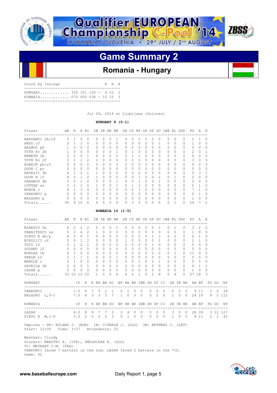



## **Romania - Hungary**

| Score by Innings                                              |  |  | R H R |  |
|---------------------------------------------------------------|--|--|-------|--|
| $HUNGARY$ 330 101 100 - 9 10 2<br>ROMANTA 070 000 03X - 10 10 |  |  |       |  |

Jul 29, 2014 at Ljubljana (Golovec)

### **HUNGARY 9 (0-1)**

| Player         | AВ               | R             | H            | ВI            | 2B       | 3B HR BB     |          |          |    |          |              |          |           |                | SB CS HP SH SF SO IBB KL |          | GDP      | P0       | A        | E |
|----------------|------------------|---------------|--------------|---------------|----------|--------------|----------|----------|----|----------|--------------|----------|-----------|----------------|--------------------------|----------|----------|----------|----------|---|
| RADVANYI 2b/cf | ----------<br>5. |               | <sup>0</sup> | $\Omega$      | 0        | U            | O        |          |    | Ω        | <sup>0</sup> | O        |           | $\Omega$       | 0                        | 0        | 0        | 2        |          |   |
| ANDO cf        | 3                |               |              | 0             | $\Omega$ | 0            | $\Omega$ | $\Omega$ |    | $\Omega$ | $\Omega$     | $\Omega$ | $\Omega$  | 1              | $\Omega$                 | $\Omega$ | 0        |          | O        |   |
| HALMOS ph      |                  | $\Omega$      | $\Omega$     | 0             | $\Omega$ | 0            | $\Omega$ | 0        |    | $\Omega$ | $\Omega$     | $\Omega$ | $\Omega$  | $\Omega$       | $\Omega$                 | $\Omega$ | 0        | $\Omega$ | $\Omega$ |   |
| TOTH Kr 2b     |                  | $\Omega$      | 0            | 0             | 0        | 0            | $\Omega$ |          |    |          | $\Omega$     | $\Omega$ | $\Omega$  | 0              | $\Omega$                 | 0        | 0        | 2.       | $\Omega$ |   |
| NEMETH 1b      |                  | $\mathcal{D}$ | $\Omega$     |               | 0        | 0            | $\Omega$ | 2        |    |          |              | 0        | 0         | $\Omega$       | $\Omega$                 | 0        | $\Omega$ | 6        | $\Omega$ |   |
| TOTH Ko rf     |                  |               |              | 2             |          | 0            | $\Omega$ | 0        |    | 0        | 0            | $\Omega$ | 0         | $\Omega$       | $\Omega$                 | 0        | 0        | 3        | $\Omega$ |   |
| KOREIN ph/rf   | 0                | $\Omega$      | $\Omega$     | 0             | 0        | 0            | $\Omega$ | 3        | O  | 0        | 0            | $\Omega$ | $\Omega$  | $\Omega$       | $\Omega$                 | 0        | 0        | 0        | $\Omega$ |   |
| GOOR C pr      | 0                | $\Omega$      | $\Omega$     | $\Omega$      | 0        | 0            | $\Omega$ | $\Omega$ | O. | 0        | $\Omega$     | $\Omega$ | $\Omega$  | $\Omega$       | $\Omega$                 | 0        | 0        | $\Omega$ | $\Omega$ |   |
| ERDELYI 3b     | Б                |               | 2            | 1             |          | <sup>0</sup> | $\Omega$ | $\Omega$ |    | O.       | $\bigcap$    | $\Omega$ | $\bigcap$ | $\mathfrak{D}$ | $\Omega$                 | $\Omega$ | 0        | $\Omega$ | २        |   |
| GOOR N lf      | 4                | 0             |              | $\mathcal{P}$ | 1.       | <sup>0</sup> | $\Omega$ | $\Omega$ | U  | 0        |              | $\Omega$ | O.        | $\mathcal{P}$  | $\Omega$                 |          | $\Omega$ | 2        | $\Omega$ |   |
| DARABOS dh     | 3                | $\Omega$      |              | $\Omega$      | O.       | 0            | $\Omega$ |          |    | Ω        |              | O        | ∩         |                | $\Omega$                 | O        | 0        | $\Omega$ | O        |   |
| LUPTAK SS      |                  | $\mathcal{P}$ |              | $\Omega$      |          | U            |          |          |    |          |              |          | U         | $\Omega$       | $\cap$                   | U        | 0        | O.       |          |   |
| MORUA c        |                  |               | 3            | $\Omega$      | O.       | U            |          | 0        |    | n        |              |          | 0         | $\Omega$       | $\Omega$                 | Ω        | 0        |          |          |   |
| VARKONYI p     | 0                | 0             | 0            | $\Omega$      | 0        | O            | O        | $\Omega$ |    | 0        | <sup>0</sup> | $\Omega$ | 0         | $\Omega$       | $\Omega$                 | O        | 0        | O.       |          |   |
| BALASKO p      | 0                | O             |              | $\Omega$      | 0        | U            | $\Omega$ | $\Omega$ |    | Ω        | 0            | O        | 0         | $\Omega$       | $\Omega$                 | 0        | 0        |          | $\Omega$ |   |
| Totals         | 36               | 9             | 10           | 6             | 4        | 0            | 0        | 9        |    | 3        | 5            | 0        | 0         | 6              | 0                        |          | 0        | 24       |          |   |

### **ROMANIA 10 (1-0)**

| Player                                                                                                                                                               |              | AB R H BI                                              |              |                |               |          |          |                |                     |                           |                |           |                |                     |                |                |                     | 2B 3B HR BB SB CS HP SH SF SO IBB KL GDP PO A E      |                |                                                               |              |
|----------------------------------------------------------------------------------------------------------------------------------------------------------------------|--------------|--------------------------------------------------------|--------------|----------------|---------------|----------|----------|----------------|---------------------|---------------------------|----------------|-----------|----------------|---------------------|----------------|----------------|---------------------|------------------------------------------------------|----------------|---------------------------------------------------------------|--------------|
| MIRESCU 2b 4 2                                                                                                                                                       |              |                                                        | 2            | 2              | 0             | 0        | $\Omega$ | $\overline{1}$ | $\Omega$            | $\Omega$                  | $\Omega$       | $\Omega$  | $\Omega$       | $\mathbf{1}$        | $\Omega$       | $\overline{1}$ | $\Omega$            |                                                      | $3 \quad 2$    | 2                                                             |              |
| PANAITESCU ss 5 2 4                                                                                                                                                  |              |                                                        |              | 2              | $\mathbf{1}$  | $\Omega$ | $\Omega$ | $\bigcirc$     | 3                   | $\Omega$                  | $\mathbf{0}$   | $\Omega$  | $\Omega$       | $\Omega$            | $\circ$        | $\Omega$       | $\circ$             |                                                      | $1 \quad 8$    | $\Omega$                                                      |              |
| PIRVU E dh/p $4 \t 0 \t 0$                                                                                                                                           |              |                                                        |              | $\mathbf{1}$   | $\Omega$      | $\Omega$ | $\Omega$ | $\bigcap$      | $\Omega$            | $\Omega$                  | $\Omega$       | $\bigcap$ | $\mathbf{1}$   | 3                   | $\bigcap$      | $\mathfrak{D}$ | $\Omega$            | $0\quad1$                                            |                | $\Omega$                                                      |              |
| NIKOLICI cf 50                                                                                                                                                       |              |                                                        | $\mathbf{1}$ | 2              | $\Omega$      | $\Omega$ | $\Omega$ | $\Omega$       | $\mathbf{1}$        | $\Omega$                  | $\Omega$       | $\bigcap$ | $\Omega$       | $\mathbf{1}$        | $\bigcap$      | $\Omega$       | $\Omega$            | $2 \quad 1$                                          |                | $\Omega$                                                      |              |
| TOCU lf                                                                                                                                                              | $\mathbf{3}$ | $1 \quad 2$                                            |              | $\overline{1}$ | $\Omega$      | $\Omega$ | $\Omega$ | $\Omega$       | $\Omega$            | $\Omega$                  | $\Omega$       | $\Omega$  | $\overline{1}$ | $\Omega$            | $\Omega$       | $\Omega$       | $\Omega$            | $\Omega$                                             | $\bigcirc$     | $\Omega$                                                      |              |
| SUSANU lf                                                                                                                                                            |              | $0 \quad 0 \quad 0$                                    |              | $\Omega$       | $\Omega$      | $\Omega$ |          | $0 \quad 0$    | $\mathbf{0}$        | $\Omega$                  | $\Omega$       | $\Omega$  | $\Omega$       | $\Omega$            | $\Omega$       | $\bigcirc$     | $\Omega$            | $\circ$                                              | $\bigcirc$     | $\Omega$                                                      |              |
| BURLEA 1b 4 1 0                                                                                                                                                      |              |                                                        |              | $\Omega$       | $\Omega$      | $\Omega$ | $\Omega$ | $\Omega$       | $\circ$             | $\cap$                    | $\Omega$       | $\Omega$  | $\Omega$       | $\overline{2}$      | $\bigcap$      | $\mathbf{1}$   | $\Omega$            | 11                                                   | $\Omega$       | $\Omega$                                                      |              |
| PREDA rf 3 1 1                                                                                                                                                       |              |                                                        |              | $\overline{1}$ | $\Omega$      | $\Omega$ |          | $0 \quad 1$    | $\mathbf{0}$        |                           | $0\quad 0$     | $\bigcap$ | $\cap$         | $\Omega$            | $\cap$         | $\Omega$       | $\cap$              | $\circ$                                              | $\overline{0}$ | $\Omega$                                                      |              |
| MANOLE C                                                                                                                                                             |              | $3\quad1\quad0$                                        |              | $\circ$        | $\circ$       | $\circ$  |          | $0\quad 0$     | $\circ$             |                           | $0\quad1$      |           |                | $0 \quad 0 \quad 1$ |                | $0\quad 0$     | $\circ$             |                                                      | 5 5            | $\circ$                                                       |              |
| GAVRILA 3b                                                                                                                                                           |              | $2 \t 2 \t 0$                                          |              | $\overline{1}$ | $\Omega$      | $\Omega$ |          | $0\quad 2$     | 2                   |                           | $0 \quad 0$    | $\Omega$  | $\Omega$       | $\Omega$            |                | $0 \quad 0$    | $\Omega$            | $4 \quad 1$                                          |                | 1                                                             |              |
| LAZAR p                                                                                                                                                              |              | $\begin{array}{ccccccccc}\n0 & 0 & 0 & 0\n\end{array}$ |              | $\Omega$       | $\Omega$      | $\Omega$ |          | $0 \quad 0$    | $\Omega$            | $\Omega$                  | $\circ$        | $\Omega$  |                | $0 \quad 0$         | $\cap$         | $\Omega$       | $\cap$              | $1 \quad 0$                                          |                | $\Omega$                                                      |              |
| Totals                                                                                                                                                               |              | 33 10 10 10                                            |              |                | $\mathbf{1}$  | $\Omega$ | $\Omega$ | 4              | 6                   | $\Omega$                  | $\mathbf{1}$   | $\cap$    | $\mathfrak{D}$ | 8                   | $\Omega$       | $\overline{4}$ | $\Omega$            | 27 18                                                |                | $\overline{\mathbf{3}}$                                       |              |
| <b>HUNGARY</b><br>----------------------------                                                                                                                       |              |                                                        |              |                |               |          |          |                |                     |                           |                |           |                |                     |                |                |                     |                                                      |                | IP H R ER BB SO WP HB BK IBB SH SF CI 2B 3B HR AB BF FO GO NP |              |
| VARKONYI                                                                                                                                                             |              |                                                        |              |                | 1.0 6 7 5 1 1 |          |          |                | $\Omega$            | $\overline{1}$<br>$\circ$ | $\overline{0}$ |           | $0\quad 0$     |                     | $\overline{0}$ | $\circ$        | $0\quad 0$          |                                                      | 911            | $\sim$ 1                                                      | 0 39         |
| BALASKO L, 0-1 7.0 4 3 3 3 7                                                                                                                                         |              |                                                        |              |                |               |          |          |                | $1 \quad 0$         | $\Omega$                  | $\bigcirc$     |           | $\Omega$       | $\overline{2}$      | $\bigcirc$     |                | $1 \quad 0 \quad 0$ |                                                      | 24 29          |                                                               | 9 5 1 1 1    |
| ROMANIA                                                                                                                                                              |              |                                                        |              |                |               |          |          |                |                     |                           |                |           |                |                     |                |                |                     | IP H R ER BB SO WP HB BK IBB SH SF CI 2B 3B HR AB BF |                |                                                               | FO GO NP     |
| LAZAR                                                                                                                                                                |              | 6.08                                                   |              |                | 9 7 7 3       |          |          |                | $2 \quad 4 \quad 0$ |                           | $\bigcirc$     |           | $\Omega$       | $\Omega$            | $\bigcirc$     |                | 3 0 0               |                                                      |                | 28 39 3 12 127                                                |              |
| PIRVUE W, 1-0 3.0 2 0 0 2 3 0 1 0 0 0 0 0 1 0 0                                                                                                                      |              |                                                        |              |                |               |          |          |                |                     |                           |                |           |                |                     |                |                |                     | 8 1 1                                                |                |                                                               | $2 \t1 \t42$ |
| Umpires - HP: NYLAND J. (NOR) 1B: CIPERLE J. (SLO) 3B: ERTNERS J. (LAT)<br>Start: 12:00 Time: 3:07 Attendance: 25                                                    |              |                                                        |              |                |               |          |          |                |                     |                           |                |           |                |                     |                |                |                     |                                                      |                |                                                               |              |
| Weather: Cloudy<br>Scorers: MAESTRI A. (ITA), SMOLNIKAR E. (SLO)<br>TC: MEURANT J.M. (FRA)<br>VARKONYI faced 7 batters in the 2nd. LAZAR faced 2 batters in the 7th. |              |                                                        |              |                |               |          |          |                |                     |                           |                |           |                |                     |                |                |                     |                                                      |                |                                                               |              |

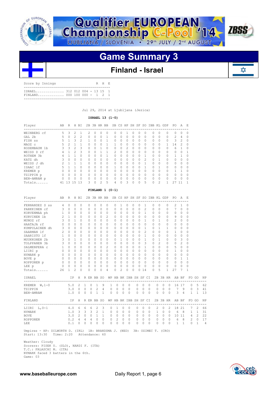



### **Finland - Israel**

| ISRAEL 312 012 004 - 13 15 1<br>FINLAND 000 100 000 - 1 2 1 | Score by Innings |  |  | R H E |  |
|-------------------------------------------------------------|------------------|--|--|-------|--|
|                                                             |                  |  |  |       |  |

Jul 29, 2014 at Ljubljana (Jezica)

 **ISRAEL 13 (1-0)**

| Player       | AВ       | R        | H | ВI       | 2B        |   | 3B HR BB     |          | SB.           |          | CS HP | SH SF    |          | so            | IBB      | KL       | GDP      | PO.           | А  | E.       |
|--------------|----------|----------|---|----------|-----------|---|--------------|----------|---------------|----------|-------|----------|----------|---------------|----------|----------|----------|---------------|----|----------|
| WEINBERG cf  | 5        | 3        | 2 |          | 2         | 0 | 0            | 0        | 0             |          |       | 0        | $^{()}$  | 0             | 0        | 0        | $\Omega$ | $\Omega$      | 0  | $\Omega$ |
| GAL 2b       | 5        | $\Omega$ | 2 | 2        | $\Omega$  | 0 | 0            |          | 0             | 0        | 0     | $\Omega$ | 0        | 0             | $\Omega$ | $\Omega$ | $\Omega$ | $\mathcal{L}$ | 4  | $\Omega$ |
| FISH SS      | 5        |          | 3 | 2        |           | Λ | O            |          | $\Omega$      | Ω        | 0     | $\Omega$ | 0        | $\Omega$      | $\Omega$ | 0        | $\Omega$ | 3             | 2  | $\Omega$ |
| MAOZ c       | 5        |          |   |          | 0         | 0 | O            |          |               | Ω        | 0     | 0        | 0        | 0             | 0        | 0        |          | 4             | 2  | 0        |
| ROSEMBAUM 1b | 3        | 3        | 2 | 3        | $\Omega$  | 0 |              | $\Omega$ | $\Omega$      | $\Omega$ | 2     | $\Omega$ | 0        | $\Omega$      | $\Omega$ | $\Omega$ | $\Omega$ | 6             |    | $\Omega$ |
| WEISS D rf   | 4        |          | っ | २        | $\Omega$  | ∩ |              |          | $\mathcal{L}$ | U        | U     | $\Omega$ | 0        | O             | $\Omega$ | $\Omega$ | $\Omega$ | $\Omega$      | O  |          |
| ROTHEM 3b    |          |          |   | $\Omega$ | $\bigcap$ | U | Ω            |          | $\Omega$      | Λ        | U     | $\Omega$ | $\Omega$ |               | O        | 0        | $\Omega$ |               |    | $\cap$   |
| KATZ dh      | 3        | $\Omega$ | 0 | $\Omega$ | $\Omega$  | 0 | $\Omega$     | 0        | 0             | Ω        | 0     | $\Omega$ | 0        | $\mathcal{D}$ | 0        |          | $\Omega$ | $\Omega$      | Ω  | 0        |
| WEISS J dh   |          |          |   |          | $\Omega$  | U | $\bigcap$    | $\Omega$ | $\Omega$      | O        | 0     | $\Omega$ | 0        |               | 0        | $\Omega$ | $\Omega$ | $\Omega$      | 0  | $\Omega$ |
| ISAAC lf     | 5        |          |   | $\Omega$ | $\Omega$  | ∩ | <sup>n</sup> | $\Omega$ |               | ∩        | Ω     | O        | Λ        |               | $\Omega$ |          | $\Omega$ | $\cap$        | U  | $\Omega$ |
| KREMER p     |          | n        | 0 | $\Omega$ | O         | n | O            | $\Omega$ | $\Omega$      |          | Ω     | $\Omega$ | O        | O             | 0        | O        | $\Omega$ |               |    | $\cap$   |
| TZIPPIN p    | 0        | Ω        | 0 | $\Omega$ | $\Omega$  | Λ | $\Omega$     | 0        | 0             | Ω        | Ω     | $\Omega$ | 0        | 0             | 0        | $\Omega$ | $\Omega$ | $\Omega$      | Ω  | 0        |
| BEN-AMRAM p  | $\Omega$ | O        | 0 | $\Omega$ | $\Omega$  | U | $\bigcap$    | $\Omega$ | $\Omega$      | O        | U     | $\Omega$ | 0        | $\Omega$      | $\Omega$ | $\Omega$ | $\Omega$ | $\Omega$      | U  | $\Omega$ |
| Totals       | 41       | ्र       | 5 | 13       | 3         | Λ | 2            | 5        | 4             |          | 3     | O        |          | 5             | 0        | 2        |          | 27            | 11 |          |

### **FINLAND 1 (0-1)**

| Player          | AB             | $R_{\perp}$  |          | H BI                    |              |           |              |              |                                       |          |          |           |                |           |          |          |              | 2B 3B HR BB SB CS HP SH SF SO IBB KL GDP |                |          |                | PO.                                             | A            | - E          |       |    |
|-----------------|----------------|--------------|----------|-------------------------|--------------|-----------|--------------|--------------|---------------------------------------|----------|----------|-----------|----------------|-----------|----------|----------|--------------|------------------------------------------|----------------|----------|----------------|-------------------------------------------------|--------------|--------------|-------|----|
| FERNANDEZ S ss  | 4              | $\Omega$     | 0        | 0                       |              | $\Omega$  | 0            | $\Omega$     | 0                                     |          | 0        | 1         | 0              | $\Omega$  | 0        |          | 1            | $\Omega$                                 | $\Omega$       |          | 0              | 2                                               | 1            | 0            |       |    |
| PARKKINEN cf    | 3              | $\bigcap$    | $\Omega$ | <sup>n</sup>            |              | $\bigcap$ | O            | $\bigcap$    | 0                                     |          | 0        | $\bigcap$ | 0              | $\bigcap$ | $\Omega$ |          | 2            | $\Omega$                                 | $\Omega$       |          | O              | 7                                               | $\Omega$     | 0            |       |    |
| KORVENMAA ph    | $\mathbf{1}$   | $\circ$      | $\Omega$ | <sup>n</sup>            |              | $\Omega$  | $\Omega$     | $\bigcap$    | 0                                     |          | $\Omega$ | $\bigcap$ | 0              | $\Omega$  | $\Omega$ |          | $\mathbf{1}$ | $\Omega$                                 | $\Omega$       |          | $\Omega$       | $\Omega$                                        | 0            | 0            |       |    |
| KURVINEN 1b     | 2              | $\mathbf{1}$ | $\Omega$ | 0                       |              | $\Omega$  | $\Omega$     | $\Omega$     | $\mathfrak{D}$                        |          | 0        | $\Omega$  | $\Omega$       | $\Omega$  | $\Omega$ |          | $\Omega$     | $\Omega$                                 | $\Omega$       |          | 0              | 9                                               | $\Omega$     | $\Omega$     |       |    |
| MUNOZ rf        | 3              | $\bigcap$    | 1        | 0                       |              | $\Omega$  | O            | $\bigcap$    | $\Omega$                              |          | 0        | $\bigcap$ | 0              | $\bigcap$ | $\Omega$ |          | 1.           | $\Omega$                                 | 1.             |          | 0              | 2                                               | $\Omega$     | <sup>n</sup> |       |    |
| HAATAJA rf      | $\Omega$       | $\cap$       | $\Omega$ | <sup>n</sup>            |              | $\bigcap$ | O            | <sup>n</sup> | $\Omega$                              |          | 0        | $\bigcap$ | $\cap$         | $\bigcap$ | $\Omega$ |          | $\bigcap$    | $\Omega$                                 | $\cap$         |          | 0              | $\bigcap$                                       | $\Omega$     | O            |       |    |
| KUMPULAINEN dh  | 3              | $\Omega$     | $\Omega$ | 0                       |              | $\Omega$  | $\Omega$     | <sup>0</sup> | 0                                     |          | 0        | $\bigcap$ | 0              | $\bigcap$ | $\Omega$ |          | 1            | $\Omega$                                 | 1              |          | 1.             | $\Omega$                                        | $\Omega$     | $\Omega$     |       |    |
| SAARMAN lf      | 2              | $\cap$       | $\Omega$ | <sup>n</sup>            |              | $\bigcap$ | O            | $\bigcap$    | 0                                     |          | 0        | $\bigcap$ | 0              | $\bigcap$ | $\Omega$ |          | 2            | $\Omega$                                 | $\Omega$       |          | 0              | 1.                                              | $\Omega$     | O            |       |    |
| SAARISTO 1f     | $\mathbf{1}$   | $\cap$       | $\Omega$ | <sup>n</sup>            |              | $\Omega$  | $\Omega$     | <sup>n</sup> | 0                                     |          | 0        | $\bigcap$ | 0              | $\bigcap$ | $\Omega$ |          | $\mathbf{1}$ | $\Omega$                                 | $\cap$         |          | $\Omega$       | $\Omega$                                        | 0            | $\Omega$     |       |    |
| MUUKKONEN 2b    | 3              | $\Omega$     | 1        | 0                       |              | $\Omega$  | $\Omega$     | $\Omega$     | 0                                     |          | $\Omega$ | 1         | 0              | $\Omega$  | $\Omega$ |          | $\mathbf{1}$ | $\Omega$                                 | 1              |          | 0              | $\Omega$                                        | 3            | $\Omega$     |       |    |
| TOLPPANEN 3b    | 3              | $\Omega$     | $\Omega$ | 0                       |              | $\Omega$  | $\Omega$     | 0            | 0                                     |          | 0        | $\Omega$  | $\Omega$       | $\Omega$  | $\Omega$ |          | 3            | $\Omega$                                 | $\mathfrak{D}$ |          | 0              | 0                                               | 2            | $\Omega$     |       |    |
| SALMENPERA C    | $\mathbf{1}$   | $\cap$       | $\Omega$ | 0                       |              | $\bigcap$ | O            | $\Omega$     | 2                                     |          | 0        | $\bigcap$ | 0              | $\Omega$  | $\Omega$ |          | 1            | $\Omega$                                 | $\cap$         |          | 0              | 5                                               | 0            | 0            |       |    |
| LIIRI p         | $\Omega$       | $\Omega$     | $\Omega$ | 0                       |              | $\Omega$  | $\Omega$     | $\Omega$     | $\Omega$                              |          | 0        | $\Box$    | 0              | $\Omega$  | $\Omega$ |          | $\Omega$     | $\Omega$                                 | $\Omega$       |          | 0              | 1.                                              | $\Omega$     | $\Omega$     |       |    |
| NYMARK p        | $\Omega$       | $\Omega$     | $\Omega$ | 0                       |              | $\Omega$  | $\Omega$     | $\bigcap$    | $\cap$                                |          | 0        | $\bigcap$ | $\Omega$       | $\bigcap$ | $\Omega$ |          | $\bigcap$    | $\Omega$                                 | $\Omega$       |          | O              | $\Omega$                                        | $\Omega$     | $\Omega$     |       |    |
| BOVE p          | $\circ$        | $\bigcirc$   | $\Omega$ | 0                       |              | $\Omega$  | $\Omega$     | $\Omega$     | $\Omega$                              |          | 0        | $\Omega$  | $\Omega$       | $\Omega$  | $\Omega$ |          | $\Omega$     | $\Omega$                                 | $\Omega$       |          | 0              | $\Omega$                                        | $\mathbf{1}$ | 1            |       |    |
| ROPPONEN p      |                | $0\quad 0$   | $\Omega$ | $\Omega$                |              | $\circ$   | $\Omega$     | $\Omega$     | $\Omega$                              |          | 0        | $\Omega$  | $\Omega$       | $\Omega$  | $\Omega$ |          | $\Omega$     | $\Omega$                                 | $\Omega$       |          | 0              | $\Omega$                                        | $\Omega$     | $\Omega$     |       |    |
| LEE p           | $\overline{0}$ | $\Omega$     | $\Omega$ | $\Omega$                |              | $\Omega$  | $\Omega$     | $\Omega$     | $\Omega$                              |          | 0        | $\Omega$  | $\Omega$       | $\Omega$  | $\Omega$ |          | $\Omega$     | $\Omega$                                 | $\Omega$       |          | 0              | 0                                               | $\Omega$     | O            |       |    |
| Totals          | 26             | $\mathbf{1}$ | 2        | 0                       |              | $\Omega$  | $\Omega$     | $\Omega$     | 4                                     |          | 0        | 2         | 0              | $\Omega$  | $\Omega$ | 14       |              | 0                                        | 5              |          | $\mathbf{1}$   | 27                                              | 7            | 1            |       |    |
| ISRAEL          |                |              |          |                         |              |           |              |              | IP H R ER BB SO WP HB BK IBB SH SF CI |          |          |           |                |           |          |          |              |                                          |                |          |                | 2B 3B HR AB BF                                  |              |              | FO GO | ΝP |
| KREMER $W, 1-0$ |                | 5.0          |          | $\overline{2}$          | $\mathbf{1}$ | $\circ$   | $\mathbf{1}$ |              | 9                                     | 1        | 0        | $\circ$   | 0              |           | 0        | 0        | $\circ$      | ---------                                | 0              | 0        | $\circ$        | 16                                              | 17           | $\circ$      | 5     | 62 |
| TZIPPIN         |                |              |          | $3.0 \quad 0$           | $\circ$      | $\circ$   | 2            | 4            |                                       | $\circ$  | $\circ$  | $\circ$   | $\overline{0}$ |           | 0        | $\Omega$ | $\Omega$     |                                          | 0              | $\circ$  | $\overline{0}$ | 7                                               | 9            | $\circ$      | 3     | 41 |
| BEN-AMRAM       |                | 1.0          |          | $\Omega$                | $\Omega$     | 0         | $\mathbf{1}$ | 1            |                                       | $\Omega$ | 0        | $\Omega$  | $\Omega$       |           | $\Omega$ | $\Omega$ | $\Omega$     |                                          | $\Omega$       | $\Omega$ | $\Omega$       | 3                                               | 4            | 1            | 1     | 13 |
| FINLAND         |                |              | IP.      | H                       |              |           |              |              |                                       |          |          |           |                |           |          |          |              |                                          |                |          |                | R ER BB SO WP HB BK IBB SH SF CI 2B 3B HR AB BF |              |              | FO GO | NP |
| LIIRI L, 0-1    |                | 4.0 6        |          |                         | 6            | 6         | 2            | 3            |                                       | 0        | 1.       | $\Omega$  | $\Omega$       |           | 0        | $\Omega$ | $\Omega$     |                                          | 2              | 0        | 2              | 18                                              | 21           | 7            | 2     | 66 |
| NYMARK          |                | 1.0          |          | $\overline{\mathbf{3}}$ | 3            | 3         | 2            | 1.           |                                       | 0        | $\Omega$ | $\Omega$  | $\Omega$       |           | $\Omega$ | $\cap$   | $\cap$       |                                          | $\mathbf{1}$   | $\Omega$ | $\Omega$       | 6                                               | 8            | 1            | 1.    | 31 |
| <b>BOVE</b>     |                | 3.0          |          | $\mathcal{L}$           | $\Omega$     | $\Omega$  | 1            | 1.           |                                       | $\Omega$ | $\Omega$ | $\Omega$  | $\Omega$       |           | $\Omega$ | $\Omega$ | $\Omega$     |                                          | $\Omega$       | $\Omega$ | $\Omega$       | 10                                              | 11           | 4            | 2     | 22 |
| ROPPONEN        |                | 0.2          |          | 4                       | 4            | 4         | $\Omega$     | $\cap$       |                                       | 0        | 2        | $\Omega$  | $\Omega$       |           | $\Omega$ | $\Omega$ | $\Omega$     |                                          | $\Omega$       | $\Omega$ | $\Omega$       | 6                                               | 8            | 2            | 0     | 17 |
|                 |                | 0.1          |          |                         | $\Omega$     |           | $\Omega$     | $\Omega$     |                                       | $\Omega$ | $\Omega$ | O         | $\cap$         |           | $\Omega$ | $\Omega$ | $\cap$       |                                          | $\Omega$       | $\Omega$ | $\Omega$       |                                                 | 1            | $\Omega$     | 1     |    |
| LEE             |                |              |          | $\Omega$                |              | 0         |              |              |                                       |          |          |           |                |           |          |          |              |                                          |                |          |                | 1                                               |              |              |       | 4  |

Umpires - HP: DILWORTH D. (IRL) 1B: BRANDSMA J. (NED) 3B: OZIMEC T. (CRO) Start: 13:30 Time: 2:20 Attendance: 60

 Weather: Cloudy Scorers: PISEK U. (SLO), NARDI F. (ITA) T.C.: FALASCHI M. (ITA) NYMARK faced 3 batters in the 6th. Game: 03

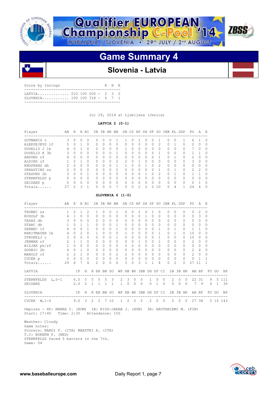





### **Slovenia - Latvia**

| Score by Innings                                               | R H E |  |
|----------------------------------------------------------------|-------|--|
| LATVIA 010 100 000 - 2 3 0<br>$SI.$ OVENTA 100 100 31X - 6 7 1 |       |  |
|                                                                |       |  |

Jul 29, 2014 at Ljubljana (Jezica)

### **LATVIA 2 (0-1)**

| Player             | AВ            | R             | H            | <b>BT</b>    | 2B | 3B           | HR.      | BB.            |               |   |               | SB CS HP SH SF |              | <sub>SO</sub> | <b>TBB</b>       | KL       | GDP      | PO.            | A             | E.       |
|--------------------|---------------|---------------|--------------|--------------|----|--------------|----------|----------------|---------------|---|---------------|----------------|--------------|---------------|------------------|----------|----------|----------------|---------------|----------|
| GUTMANIS c         | 3             | $\Omega$      | <sup>o</sup> | O            | Ω  | <sup>0</sup> | O        |                |               |   |               | Ω              | O            |               | $\left( \right)$ | $\Omega$ |          | 6              |               | $\Omega$ |
| ALEKSEJEVS 1f      | 5             | $\Omega$      |              | 0            | Ω  | 0            | 0        | $\Omega$       | $\bigcap$     | 0 | $\Omega$      | 0              | $\Omega$     | 2             | $\bigcap$        |          | 0        | $\mathcal{L}$  | 0             | $\Omega$ |
| DUSELIS J<br>- 1 b | 4             |               |              | $\Omega$     | Λ  | <sup>0</sup> | 0        | $\Omega$       |               | Λ | $\Omega$      | U              | $\Omega$     | O             | <sup>n</sup>     | $\Omega$ | 0        | 7              | 0             | $\Omega$ |
| DUSELIS K 3b       | 3             | O             | $\Omega$     | O            | Λ  | <sup>0</sup> | O        |                | $\cap$        | n | $\bigcap$     | O              | $\Omega$     |               | $\cap$           | $\Omega$ | 0        |                |               | $\Omega$ |
| ANSONS rf          | 4             | 0             | <sup>o</sup> | O            | O  | <sup>0</sup> | 0        | $\Omega$       | $\bigcap$     | Λ | O             |                | 0            |               | O.               |          | 0        | $\mathfrak{D}$ | 0             | $\Omega$ |
| ALDINS cf          |               | $\mathcal{P}$ |              | <sup>0</sup> | Λ  | <sup>0</sup> | $\Omega$ | $\mathcal{L}$  | $\mathcal{P}$ | ∩ | п             | U              | <sup>0</sup> | <sup>0</sup>  | $\cap$           | $\Omega$ | 0        | 3              | $\Omega$      | $\Omega$ |
| KNOPKENS dh        | $\mathcal{P}$ | $\Omega$      | $\cap$       | <sup>0</sup> | Λ  | O            | ∩        |                |               | Λ | $\Omega$      |                | $\bigcap$    | 2             | $\cap$           | $\Omega$ | 0        | <sup>0</sup>   | O             | $\Omega$ |
| SKRASTINS ss       | $\mathcal{P}$ | $\Omega$      | $\Omega$     | $\Omega$     | Λ  | O            | 0        | $\mathfrak{D}$ | $\cap$        | ∩ | O             |                |              |               | <sup>n</sup>     |          | $\Omega$ | $\mathcal{P}$  | $\mathcal{P}$ | $\Omega$ |
| STASUNS 2b         | 3             | $\Omega$      | $\cap$       |              | Λ  | <sup>0</sup> | ∩        | $\Omega$       | $\cap$        | Λ | <sup>0</sup>  |                | ∩            | $\mathcal{P}$ | <sup>n</sup>     |          | 0        |                |               | $\Omega$ |
| STERNFELDS p       | 0             | O             | $\bigcap$    | <sup>0</sup> | 0  | <sup>0</sup> | O        | $\Omega$       | $\cap$        | Λ | O             | U              | $\Omega$     | U             | <sup>0</sup>     | $\Omega$ | 0        | O              | O             | $\Omega$ |
| GEIDANS p          | $\Omega$      | $\Omega$      | $\cap$       | $\Omega$     | Ω  | O            | $\Omega$ | $\Omega$       | $\cap$        | U | $\Omega$      | U              |              |               | $\cap$           | $\Omega$ | 0        | $\cap$         |               | $\Omega$ |
| Totals             | 27            | っ             | ੨            |              |    | O            |          |                | 5             | ∩ | $\mathcal{L}$ | $\mathcal{D}$  |              | 10            | <sup>n</sup>     | 4        | 1.       | 24             | 6             |          |

### **SLOVENIA 6 (1-0)**

| Player                                                                                                                  | AB R H BI      |              |                |              |               |                     |           | 2B 3B HR BB SB CS HP SH SF SO IBB KL GDP PO |              |           |               |          |                |                |              |          |                |          |          |                                                               | A E            |                |         |
|-------------------------------------------------------------------------------------------------------------------------|----------------|--------------|----------------|--------------|---------------|---------------------|-----------|---------------------------------------------|--------------|-----------|---------------|----------|----------------|----------------|--------------|----------|----------------|----------|----------|---------------------------------------------------------------|----------------|----------------|---------|
| -------------------------------------<br>TROBEC SS                                                                      | $\mathbf{1}$   | 2            | $\mathbf{1}$   | 2            | $\mathbf{1}$  | $\Omega$            | $\Omega$  | $\overline{1}$                              | $\Omega$     | $\Omega$  | $\mathcal{L}$ |          | $\Omega$       | $\overline{1}$ | $\Omega$     | $\Omega$ | $\Omega$       |          | $\Omega$ | $\Omega$                                                      | $\mathcal{L}$  | $\Omega$       |         |
| RUDOLF 3b                                                                                                               |                | $4 \quad 1$  | $\Omega$       | $\Omega$     | $\Omega$      | $\Omega$            | $\bigcap$ | $\Omega$                                    | $\Omega$     | $\Omega$  | $\Omega$      | 1        |                | $\Omega$       | $\Omega$     | $\Omega$ | $\Omega$       |          | $\Omega$ | $\Omega$                                                      | 3              | $\Omega$       |         |
| VADAS dh                                                                                                                | $\mathcal{E}$  | $\circ$      | $\Omega$       | $\Omega$     | $\Omega$      | $\Omega$            | $\Omega$  | $\Omega$                                    | $\Omega$     | $\Omega$  | $\Omega$      | $\circ$  |                | $\Omega$       | $\Omega$     | $\Omega$ | $\Omega$       |          | $\Omega$ | $\Omega$                                                      | $\Omega$       | $\Omega$       |         |
| STARC dh                                                                                                                | $\overline{1}$ | $\Omega$     | $\mathbf{1}$   | $\mathbf{1}$ | $\Omega$      | $\Omega$            |           | $0 \quad 1$                                 | $\Omega$     | $\Omega$  | $\Omega$      |          | $\Omega$       | $\Omega$       | $\Omega$     | $\Omega$ | $\Omega$       |          | $\cap$   | $\Omega$                                                      | $\Omega$       | $\Omega$       |         |
| SERBEC 1f                                                                                                               | $\overline{4}$ | $\cap$       | $\Omega$       | $\mathbf{1}$ | $\Omega$      | $\Omega$            | $\Omega$  | $\overline{1}$                              | $\Omega$     | $\bigcap$ | $\Omega$      |          | $\Omega$       | $\cap$         | $\mathbf{1}$ | $\Omega$ | $\overline{1}$ |          |          | $\mathbf{1}$                                                  | $\mathbf{1}$   | $\Omega$       |         |
| KREITMAYER 1b 4 0                                                                                                       |                |              | $\mathfrak{D}$ | $\Omega$     | $\mathbf{1}$  | $\Omega$            | $\Omega$  | $\Omega$                                    | $\mathbf{1}$ | $\bigcap$ | $\Omega$      | $\Omega$ |                | $\Omega$       | 1            | $\Omega$ | $\overline{1}$ |          | $\Omega$ | 10                                                            | $\Omega$       | $\Omega$       |         |
| STRUKELJ c                                                                                                              |                | $3 \quad 0$  | $\Omega$       | $\Omega$     | $\Omega$      | $\Omega$            | $\Omega$  | $\overline{1}$                              | $\Omega$     | $\Omega$  | $\Omega$      |          | $\circ$        | $\Omega$       | 1            | $\Omega$ | $\Omega$       |          | $\Omega$ | 10                                                            | $\Omega$       | $\Omega$       |         |
| $\sim$ 2<br>JERMAN rf                                                                                                   |                | $\mathbf{1}$ | $\overline{1}$ | $\Omega$     | $\Omega$      | $\bigcap$           | $\Omega$  | $\Omega$                                    | $\Omega$     | $\bigcap$ | $\mathbf{1}$  |          | $\Omega$       | $\Omega$       | $\mathbf{1}$ | $\Omega$ | $\Omega$       |          | $\Omega$ | $\mathfrak{D}$                                                | $\Omega$       | $\Omega$       |         |
| BIZJAK ph/rf 1 0 0<br>GODNIC 2b 4 0 1                                                                                   |                |              |                | $\Omega$     | $\Omega$      | $\Omega$            | $\cap$    | $\Omega$                                    | $\Omega$     | $\Omega$  |               | $\Omega$ | $\Omega$       | $\Omega$       | $\Omega$     | $\cap$   | $\Omega$       |          | $\cap$   | $\Omega$                                                      | $\Omega$       | $\Omega$       |         |
|                                                                                                                         |                |              |                | $\Omega$     | $\Omega$      | $\Omega$            | $\Omega$  | $\Omega$                                    | $\Omega$     | $\Omega$  | $\Omega$      |          | $\Omega$       | $\Omega$       | $\Omega$     | $\Omega$ | $\Omega$       |          | $\Omega$ | $\overline{2}$                                                | $\overline{4}$ | $\Omega$       |         |
| MAROLT cf 2 2 1                                                                                                         |                |              |                | $\Omega$     | $\Omega$      | $0 \quad 0 \quad 2$ |           |                                             | 2            |           | $0 \quad 0$   |          | $0 \quad 0$    |                | $\Omega$     | $\Omega$ | $\Omega$       |          | $\Omega$ | $2 \quad 0$                                                   |                | $\Omega$       |         |
| CUCEK p 0 0 0                                                                                                           |                |              |                | $\circ$      | $\circ$       |                     |           | $\begin{matrix} 0 & 0 & 0 \end{matrix}$     | $\circ$      |           | $0\quad 0$    |          | $\overline{0}$ | $\Omega$       | $\Omega$     | $\circ$  | $\circ$        |          | $\Omega$ | $\circ$                                                       | $\overline{1}$ | -1             |         |
| Totals                                                                                                                  | 29             | 6            | 7              | 4            | $\mathcal{L}$ | $\Omega$            | $\Omega$  | 6                                           | 3            | $\Omega$  |               | 3        |                |                | 4            | $\Omega$ | $\mathfrak{D}$ |          | $\Omega$ | 27 11                                                         |                |                |         |
| LATVIA                                                                                                                  |                |              |                |              |               |                     |           |                                             |              |           |               |          |                |                |              |          |                |          |          | IP H R ER BB SO WP HB BK IBB SH SF CI 2B 3B HR AB BF FO GO NP |                |                |         |
| STERNFELDS L, 0-1 6.0 5 5 5 5 3                                                                                         |                |              |                |              |               |                     |           |                                             | $2 \quad 3$  |           | $\circ$       | $\circ$  | 1              | $\Omega$       |              | $\Omega$ |                |          |          | 2 0 0 22 31 9 5 111                                           |                |                |         |
| GEIDANS                                                                                                                 | 2.0 2 1 1 1 1  |              |                |              |               |                     |           |                                             | $\mathbf{1}$ | $\Omega$  | $\circ$       | $\Omega$ | $\Omega$       | $\overline{1}$ | $\Omega$     |          | $\Omega$       | $\Omega$ | $\Omega$ | 7 9                                                           |                | $\overline{4}$ | 1 36    |
| IP H R ER BB SO WP HB BK IBB SH SF CI<br>SLOVENIA                                                                       |                |              |                |              |               |                     |           |                                             |              |           |               |          |                |                |              |          |                |          | 2B 3B HR | AB BF                                                         |                |                | FOGO NP |
| CUCEK W, 1-0 9.0 3 2 2 7 10                                                                                             |                |              |                |              |               |                     |           |                                             | 1 2 0 0      |           |               |          | 2 0 0          |                |              |          |                |          |          | 0 0 0 27 38 5 10 143                                          |                |                |         |
| Umpires - HP: MANEA C. (ROM) 1B: KISS-JAKAB J. (HUN) 3B: HAUTANIEMI M. (FIN)<br>Start: 17:40 Time: 2:30 Attendance: 150 |                |              |                |              |               |                     |           |                                             |              |           |               |          |                |                |              |          |                |          |          |                                                               |                |                |         |

 Weather: Cloudy Game notes: Scorers: NARDI F. (ITA) MAESTRI A. (ITA) T.C: BOKERN P. (NED) STERNFELDS faced 5 batters in the 7th. Game: 04

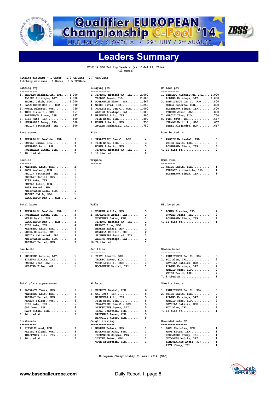

**Qualifier EUROPEAN<br>Championship C-Pool '14** 



**Leaders Summary**

 **EChC 14 SLO Batting Leaders (as of Jul 29, 2014) (All games)**

| Pitching minimums - 1 Games<br>1.5 IP/Game                     |                                                                      |                                                                |
|----------------------------------------------------------------|----------------------------------------------------------------------|----------------------------------------------------------------|
| Batting avg<br>-----------                                     | Slugging pct<br>------------                                         | On base pct<br>-----------                                     |
| 1. FERRATO Michael-An, IRL 1.000<br>ALDINS Kristaps, LAT 1.000 | 1. FERRATO Michael-An, IRL 2.000<br>$TROBEC Jakob, SLO \ldots 2.000$ | 1. FERRATO Michael-An, IRL 1.000<br>ALDINS Kristaps, LAT 1.000 |
| $TROBEC Jakob, SLO \ldots 1.000$                               | 3. ROSEMBAUM Simon, ISR 1.667                                        | 3. PANAITESCU Dan C., ROM<br>.800                              |
| 4. PANAITESCU Dan C., ROM .800                                 | 4. WEISS David, ISR 1.250                                            | MORUA Roberto, HUN .800                                        |
| 5. MORUA Roberto, HUN .750                                     | 5. PANAITESCU Dan C., ROM 1.000                                      | ROSEMBAUM Simon, ISR .800                                      |
| 6. TOCU Liviu I., ROM .667                                     | ALDINS Kristaps, LAT 1.000                                           | TROBEC Jakob, SLO .800                                         |
| ROSEMBAUM Simon, ISR .667                                      | 7. WEINBERG Aric, ISR .800                                           | 7. MAROLT Tine, SLO .750                                       |
| 8. FISH Nate, ISR .600                                         |                                                                      | .667<br>8. FISH Nate, ISR                                      |
| 9. HERNANDEZ Tommy, IRL .500                                   | 9. MORUA Roberto, HUN .750                                           | JERMAN Matic A., SLO<br>. 667                                  |
| ANGLIN Nathaniel, IRL .500                                     | ANGLIN Nathaniel, IRL .750                                           | PEREZ Alejandro, NOR<br>. 667                                  |
| Runs scored<br>-----------                                     | Hits<br>$- - - -$                                                    | Runs batted in<br>--------------                               |
| 1. FERRATO Michael-An, IRL<br>5                                | 1. PANAITESCU Dan C., ROM<br>4                                       | 1. ANGLIN Nathaniel, IRL<br>3                                  |
| 2. CUEVAS Jamie, IRL<br>3                                      | 3<br>2. FISH Nate, ISR                                               | 3<br>WEISS David, ISR                                          |
| 3<br>WEINBERG Aric, ISR                                        | 3<br>MORUA Roberto, HUN                                              | 3<br>ROSEMBAUM Simon, ISR                                      |
| з<br>ROSEMBAUM Simon, ISR                                      | з<br>FERRATO Michael-An, IRL                                         | 2<br>4. 10 tied at                                             |
| $\overline{2}$<br>5. 10 tied at                                | 2<br>5. 10 tied at                                                   |                                                                |
| Doubles<br>-------                                             | Triples<br>-------                                                   | Home runs<br>---------                                         |
| 2<br>1. WEINBERG Aric, ISR                                     |                                                                      | 1. WEISS David, ISR<br>1                                       |
| 1<br>2. GOOR Norbert, HUN                                      |                                                                      | FERRATO Michael-An, IRL<br>1                                   |
| 1<br>ANGLIN Nathaniel, IRL                                     |                                                                      | ROSEMBAUM Simon, ISR<br>$\mathbf{1}$                           |
| 1<br>ERDELYI Daniel, HUN                                       |                                                                      |                                                                |
| FISH Nate, ISR<br>$\mathbf{1}$                                 |                                                                      |                                                                |
| 1<br>LUPTAK Peter, HUN                                         |                                                                      |                                                                |
| 1<br>TOTH Kornel, HUN                                          |                                                                      |                                                                |
| 1<br>KREITMAYER Luka, SLO                                      |                                                                      |                                                                |
| 1                                                              |                                                                      |                                                                |
| 1<br>PANAITESCU Dan C., ROM                                    |                                                                      |                                                                |
| Total bases<br>-----------                                     | Walks<br>-----                                                       | Hit by pitch<br>------------                                   |
| 6<br>1. FERRATO Michael-An, IRL                                | з<br>1. KOREIN Atilla, HUN                                           | 2<br>1. POWER Brendan, IRL                                     |
| 2. ROSEMBAUM Simon, ISR<br>5                                   | 2. SKRASTINS Agris, LAT<br>2                                         | $\overline{2}$<br>TROBEC Jakob, SLO                            |
| 5<br>WEISS David, ISR                                          | $\overline{2}$<br>KURVINEN Jukka, FIN                                | $\overline{2}$<br>ROSEMBAUM Simon, ISR                         |
| 5<br>PANAITESCU Dan C., ROM                                    | 2<br>FERRATO Michael-An, IRL                                         | 1<br>4. 11 tied at                                             |
| 4<br>5. FISH Nate, ISR                                         | 2<br>MAROLT Tine, SLO                                                |                                                                |
| 4<br>WEINBERG Aric, ISR                                        | $\overline{\mathbf{2}}$<br>NEMETH Balazs, HUN                        |                                                                |
| 3<br>7. MORUA Roberto, HUN                                     | $\overline{\mathbf{2}}$<br>GAVRILA Catalin, ROM                      |                                                                |
| з<br>ANGLIN Nathaniel, IRL                                     | $\overline{2}$<br>SALMENPERA Perttel, FIN                            |                                                                |
| з<br>KREITMAYER Luka, SLO                                      | $\overline{\mathbf{2}}$<br>ALDINS Kristaps, LAT                      |                                                                |
| з<br>ERDELYI Daniel, HUN                                       | 1<br>$10.26$ tied at                                                 |                                                                |
| Sac bunts<br>---------                                         | Sac flies<br>---------                                               | Stolen bases<br>------------                                   |
| 1. KNOPKENS Arturs, LAT<br>1                                   | 1<br>1. PIRVU Eduard, ROM                                            | 3<br>1. PANAITESCU Dan C., ROM                                 |
| $\mathbf{1}$<br>STASUNS Nikita, LAT                            | 1<br>TROBEC Jakob, SLO                                               | 2<br>2. FOX Alan, IRL                                          |
| 1<br>RUDOLF Uros, SLO                                          | 1<br>TOCU Liviu I., ROM                                              | 2<br>GAVRILA Catalin, ROM                                      |
| 1<br>HEGSTAD Eilev, NOR                                        | 1<br>WOODBURNE Daniel, IRL                                           | 2<br>ALDINS Kristaps, LAT                                      |
|                                                                |                                                                      | 2<br>MAROLT Tine, SLO                                          |
|                                                                |                                                                      | 2<br>WEISS David, ISR                                          |
|                                                                |                                                                      | 1<br>7. 8 tied at                                              |
| Total plate appearances<br>-----------------------             | At bats                                                              | Steal attempts<br>--------------                               |
| 1. RADVANYI Tamas, HUN<br>6                                    | 6<br>1. ERDELYI Daniel, HUN                                          | 1. PANAITESCU Dan C., ROM<br>з                                 |
| WEINBERG Aric, ISR<br>6                                        | 5<br>2. GAL Oren, ISR                                                | 2<br>2. WEISS David, ISR                                       |
| ERDELYI Daniel, HUN<br>6                                       | 5<br>WEINBERG Aric, ISR                                              | 2<br>ALDINS Kristaps, LAT                                      |
| 6<br>NEMETH Balazs, HUN                                        | 5<br>FISH Nate, ISR                                                  | 2<br>MAROLT Tine, SLO                                          |
| 6<br>FISH Nate, ISR                                            | 5<br>PANAITESCU Dan C., ROM                                          | 2<br>GAVRILA Catalin, ROM                                      |
| 6<br>GAL Oren, ISR                                             | 5<br>ALEKSEJEVS Igors, LAT                                           | 2<br>FOX Alan, $IRL$                                           |
| 6<br>MAOZ Eitan, ISR                                           | 5<br>ISAAC Jonathan, ISR                                             | 7. 13 tied at<br>1                                             |
| 5<br>8. 24 tied at                                             | 5<br>RADVANYI Tamas, HUN<br>5                                        |                                                                |
| Strikeouts                                                     | NIKOLICI Klaus, ROM<br>Caught stealing                               | Grounded into DP<br>----------------                           |
| ----------<br>з<br>1. PIRVU Eduard, ROM                        | ---------------<br>1. NEMETH Balazs, HUN<br>1                        | 1                                                              |
| MELING Erlend, NOR<br>з                                        | MUUKKONEN Juha, FIN<br>1                                             | 1. BACH Nicholas, NOR<br>MAOZ Eitan, ISR<br>1                  |
| з<br>TOLPPANEN Olli, FIN                                       | FERNANDEZ Sergio, FIN<br>1                                           | HERNANDEZ Tommy, IRL<br>1                                      |
| 2<br>4. 10 tied at                                             | 1<br>LUPTAK Peter, HUN                                               | 1<br>GUTMANIS Andris, LAT                                      |
|                                                                | 1<br>TOTH Krisztian, HUN                                             | 1<br>KUMPULAINEN Antii, FIN                                    |
|                                                                |                                                                      | $PITA$ Jimmy, $IRL$<br>$\mathbf{1}$                            |

 **European Championship C-level 2014 (SLO)**

 **PITA Jimmy, IRL............ 1**

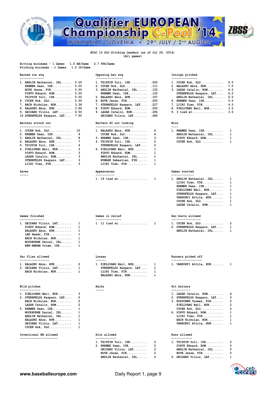



### **(All games)**

| 1.0 AB/Game<br>Hitting minimums - 1 Games<br>Pitching minimums - 1 Games<br>1.5 IP/Game                                                                                                                                                                                                                               | 2.7 TPA/Game                                                                                                                                                                                                                                                                                                                                             |                                                                                                                                                                                                                                                                                                     |
|-----------------------------------------------------------------------------------------------------------------------------------------------------------------------------------------------------------------------------------------------------------------------------------------------------------------------|----------------------------------------------------------------------------------------------------------------------------------------------------------------------------------------------------------------------------------------------------------------------------------------------------------------------------------------------------------|-----------------------------------------------------------------------------------------------------------------------------------------------------------------------------------------------------------------------------------------------------------------------------------------------------|
| Earned run avg                                                                                                                                                                                                                                                                                                        | Opposing bat avg                                                                                                                                                                                                                                                                                                                                         | Innings pitched                                                                                                                                                                                                                                                                                     |
| --------------<br>1. ANGLIN Nathaniel, IRL<br>0.00<br>KREMER Dean, ISR<br>0.00<br>0.00<br>PIRVU Eduard, ROM<br>0.00<br>TZIPPIN Yuli, ISR<br>0.00<br>2.00<br>6. CUCEK Rok, SLO<br>7. BACH Nicholas, NOR<br>3.38<br>8. BALASKO Akos, HUN<br>3.86<br>4.50<br>9. GEIDANS Vilnis, LAT<br>10.STERNFELDS Kaspars, LAT 7.50   | ----------------<br>1. TZIPPIN Yuli, ISR<br>.000<br>2. CUCEK Rok, SLO<br>.111<br>3. ANGLIN Nathaniel, IRL<br>.125<br>KREMER Dean, ISR<br>.125<br>5. BALASKO Akos, HUN<br>.167<br>.200<br>$6.$ BOVE Jesse, $FIN.$<br>7. STERNFELDS Kaspars, LAT<br>.227<br>.250<br>8. PIRVU Eduard, ROM<br>.286<br>9. LAZAR Catalin, $ROM$<br>GEIDANS Vilnis, LAT<br>.286 | ---------------<br>9.0<br>$1.$ CUCEK Rok, SLO<br>7.0<br>2. BALASKO Akos, HUN<br>6.0<br>3. LAZAR Catalin, ROM<br>6.0<br>STERNFELDS Kaspars, LAT<br>6.0<br>ANGLIN Nathaniel, IRL<br>5.0<br>6. KREMER Dean, ISR<br>4.0<br>$7.$ LIIRI Timo, FIN<br>3.2<br>8. FJELLVANG Emil, NOR<br>3.0<br>9. 3 tied at |
| Batters struck out                                                                                                                                                                                                                                                                                                    | Batters SO out looking                                                                                                                                                                                                                                                                                                                                   | Wins                                                                                                                                                                                                                                                                                                |
| ------------------<br>1. CUCEK Rok, SLO<br>10<br>9<br>2. KREMER Dean, ISR<br>8<br>3. ANGLIN Nathaniel, IRL<br>7<br>4. BALASKO Akos, HUN<br>4<br>5. TZIPPIN Yuli, ISR<br>3<br>6. FJELLVANG Emil, NOR<br>3<br>PIRVU Eduard, ROM<br>3<br>LAZAR Catalin, ROM<br>3<br>STERNFELDS Kaspars, LAT<br>3<br>LIIRI Timo, FIN      | -----------------------<br>1. BALASKO Akos, HUN<br>4<br>4<br>$CUCEK Rok, SLO. \ldots \ldots \ldots \ldots$<br>з<br>3. KREMER Dean, ISR<br>2<br>4. TZIPPIN Yuli, ISR<br>2<br>STERNFELDS Kaspars, LAT<br>1<br>6. FJELLVANG Emil, NOR<br>1<br>PIRVU Eduard, ROM<br>1<br>ANGLIN Nathaniel, IRL<br>1<br>NYMARK Sebastian, FIN<br>1<br>LIIRI Timo, FIN         | $- - - -$<br>1. KREMER Dean, ISR<br>1<br>1<br>ANGLIN Nathaniel, IRL<br>1<br>PIRVU Eduard, ROM<br>1<br>$CUCEK Rok, SLO. \ldots \ldots \ldots$                                                                                                                                                        |
| Saves                                                                                                                                                                                                                                                                                                                 | Appearances<br>-----------                                                                                                                                                                                                                                                                                                                               | Games started<br>-------------                                                                                                                                                                                                                                                                      |
| -----                                                                                                                                                                                                                                                                                                                 | 1. 19 tied at<br>1                                                                                                                                                                                                                                                                                                                                       | 1. ANGLIN Nathaniel, IRL<br>1<br>1<br>LIIRI Timo, FIN<br>1<br>KREMER Dean, ISR<br>1<br>FJELLVANG Emil, NOR<br>1<br>STERNFELDS Kaspars, LAT<br>1<br>VARKONYI Attila, HUN<br>1<br>$CUCEK Rok, SLO.$<br>1<br>LAZAR Catalin, ROM                                                                        |
| Games finished<br>--------------                                                                                                                                                                                                                                                                                      | Games in relief<br>---------------                                                                                                                                                                                                                                                                                                                       | Sac bunts allowed<br>-----------------                                                                                                                                                                                                                                                              |
| 1<br>1. GEIDANS Vilnis, LAT<br>1<br>PIRVU Eduard, ROM<br>BALASKO Akos, HUN<br>1<br>1<br>LEE Heedo, FIN<br>1<br>BACH Nicholas, NOR<br>1<br>WOODBURNE Daniel, IRL<br>1<br>BEN-AMRAM Yotam, ISR                                                                                                                          | 1. 11 tied at<br>1                                                                                                                                                                                                                                                                                                                                       | 2<br>$1.$ CUCEK Rok, SLO<br>1<br>2. STERNFELDS Kaspars, LAT<br>1<br>ANGLIN Nathaniel, IRL                                                                                                                                                                                                           |
| Sac flies allowed<br>-----------------                                                                                                                                                                                                                                                                                | Losses<br>------                                                                                                                                                                                                                                                                                                                                         | Runners picked off<br>------------------                                                                                                                                                                                                                                                            |
| 2<br>1. BALASKO Akos, HUN<br>2. GEIDANS Vilnis, LAT<br>1<br>BACH Nicholas, NOR<br>1                                                                                                                                                                                                                                   | 1. FJELLVANG Emil, NOR<br>1<br>STERNFELDS Kaspars, LAT<br>1<br>1<br>LIIRI Timo, FIN<br>BALASKO Akos, HUN<br>1                                                                                                                                                                                                                                            | 1. VARKONYI Attila, HUN<br>1                                                                                                                                                                                                                                                                        |
| Wild pitches<br>-----------                                                                                                                                                                                                                                                                                           | Balks<br>-----                                                                                                                                                                                                                                                                                                                                           | Hit batters<br>-----------                                                                                                                                                                                                                                                                          |
| 1. FJELLVANG Emil, NOR<br>з<br>2<br>2. STERNFELDS Kaspars, LAT<br>$\overline{2}$<br>BACH Nicholas, NOR<br>$\overline{2}$<br>LAZAR Catalin, ROM<br>1<br>5. KREMER Dean, ISR<br>1<br>WOODBURNE Daniel, IRL<br>1<br>ANGLIN Nathaniel, IRL<br>BALASKO Akos, HUN<br>1<br>1<br>GEIDANS Vilnis, LAT<br>1<br>$CUCEK Rok, SLO$ |                                                                                                                                                                                                                                                                                                                                                          | 4<br>1. LAZAR Catalin, ROM<br>з<br>2. STERNFELDS Kaspars, LAT<br>2<br>3. ROPPONEN Tuomas, FIN<br>2<br>FJELLVANG Emil, NOR<br>2<br>$CUCEK$ Rok, $SLO$<br>1<br>6. PIRVU Eduard, ROM<br>1<br>LIIRI Timo, FIN<br>1<br>BACH Nicholas, NOR<br>1<br>VARKONYI Attila, HUN                                   |
| Intentional BB allowed<br>----------------------                                                                                                                                                                                                                                                                      | Hits allowed<br>------------                                                                                                                                                                                                                                                                                                                             | Runs allowed<br>------------                                                                                                                                                                                                                                                                        |
|                                                                                                                                                                                                                                                                                                                       | 0<br>1. TZIPPIN Yuli, ISR<br>2<br>2. KREMER Dean, ISR<br>2<br>GEIDANS Vilnis, LAT<br>2<br>BOVE Jesse, FIN                                                                                                                                                                                                                                                | 0<br>1. TZIPPIN Yuli, ISR<br>0<br>PIRVU Eduard, ROM<br>0<br>ANGLIN Nathaniel, IRL<br>0<br>BOVE Jesse, FIN                                                                                                                                                                                           |

| 1. CUCEK Rok, SLO       | 9.0 |
|-------------------------|-----|
| 2. BALASKO Akos, HUN    | 7.0 |
| 3. LAZAR Catalin, ROM   | 6.0 |
| STERNFELDS Kaspars, LAT | 6.0 |
| ANGLIN Nathaniel, IRL   | 6.0 |
| 6. KREMER Dean, ISR     | 5.0 |
| 7. LIIRI Timo, FIN      | 4.0 |
| 8. FJELLVANG Emil, NOR  | 3.2 |
| 9. 3 tied at            | 3.0 |

| 1. KREMER Dean, ISR   | 1 |
|-----------------------|---|
| ANGLIN Nathaniel, IRL | 1 |
| PIRVU Eduard, ROM     | 1 |
| CUCEK Rok, SLO        | 1 |

| 1. ANGLIN Nathaniel, IRL | 1 |
|--------------------------|---|
| LIIRI Timo, FIN          | 1 |
| KREMER Dean, ISR         | 1 |
| FJELLVANG Emil, NOR      | 1 |
| STERNFELDS Kaspars, LAT  | 1 |
| VARKONYI Attila, HUN     | 1 |
| CUCEK Rok, SLO           | 1 |
| LAZAR Catalin, ROM       | 1 |
|                          |   |

|  | $1.$ CUCEK Rok, SLO        | 2 |
|--|----------------------------|---|
|  | 2. STERNFELDS Kaspars, LAT | 1 |
|  |                            |   |

| 1. LAZAR Catalin, ROM      |
|----------------------------|
| 2. STERNFELDS Kaspars, LAT |
| 3. ROPPONEN Tuomas, FIN    |
| FJELLVANG Emil, NOR        |
| CUCEK Rok, SLO             |
| 6. PIRVU Eduard, ROM       |
| LIIRI Timo, FIN            |
| BACH Nicholas, NOR         |
|                            |

| $1.$ TZIPPIN Yuli, ISR | - 0          |
|------------------------|--------------|
| PIRVU Eduard, ROM      | - 0          |
| ANGLIN Nathaniel, IRL  | $\Omega$     |
| BOVE Jesse, FIN        | $\Omega$     |
| 5. GEIDANS Vilnis, LAT | $\mathbf{1}$ |
|                        |              |

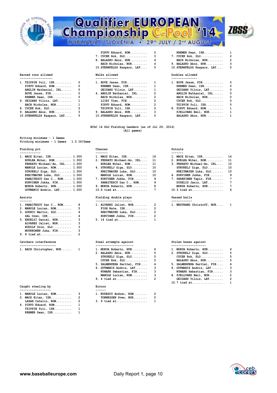

# **Qualifier EUROPEAN<br>Championship C-Pool '14** LJUBLJANA / SLOVENIA . 29th JULY / 2nd AUGUST



| 1. TZIPPIN Yuli, ISR        | 0            | $1.$ BOVE Jesse, FIN        |
|-----------------------------|--------------|-----------------------------|
| PIRVU Eduard, ROM           | 0            | KREMER Dean, ISR            |
| ANGLIN Nathaniel, IRL       | 0            | GEIDANS Vilnis, LAT         |
| BOVE Jesse, FIN             | 0            | 4. ANGLIN Nathaniel, IRL    |
| KREMER Dean, ISR            | 0            | BACH Nicholas, NOR          |
| 6. GEIDANS Vilnis, LAT      | $\mathbf{1}$ | LIIRI Timo, FIN             |
| BACH Nicholas, NOR          | 1            | PIRVU Eduard, ROM           |
| 8. CUCEK Rok, SLO           | 2            | TZIPPIN Yuli, ISR           |
| 9. BALASKO Akos, HUN        | 3            | 9. BALASKO Akos, HUN        |
| 10. STERNFELDS Kaspars, LAT | 5            | 10. STERNFELDS Kaspars, LAT |

|                                                        |            | PIRVU Eduard, ROM                       |   | KREMER Dean, ISR                       | 1        |
|--------------------------------------------------------|------------|-----------------------------------------|---|----------------------------------------|----------|
|                                                        |            | 7. CUCEK Rok, SLO                       | 3 | $7.$ CUCEK Rok, SLO                    | -2       |
|                                                        |            | 8. BALASKO Akos, HUN                    |   | BACH Nicholas, NOR                     | 2        |
|                                                        |            | BACH Nicholas, NOR                      |   | 9. BALASKO Akos, HUN                   | -3       |
|                                                        |            | 10.STERNFELDS Kaspars, LAT              | 5 | 10. STERNFELDS Kaspars, LAT            | 5        |
| <b>Earned runs allowed</b>                             |            | Walks allowed                           |   | Doubles allowed                        |          |
| --------------------<br>1. TZIPPIN Yuli, ISR         0 |            | -------------<br>1. BOVE Jesse, $FIN$ 1 |   | --------------<br>1. BOVE Jesse, $FIN$ | 0        |
| PIRVU Eduard, ROM                                      |            | KREMER Dean, ISR                        |   | KREMER Dean, ISR                       | 0        |
| ANGLIN Nathaniel, IRL                                  | $^{\circ}$ | GEIDANS Vilnis, LAT 1                   |   | GEIDANS Vilnis, LAT                    | $\Omega$ |
| BOVE Jesse, FIN                                        |            | 4. ANGLIN Nathaniel, IRL                |   | ANGLIN Nathaniel, IRL                  | - 0      |
| KREMER Dean, ISR 0                                     |            | BACH Nicholas, NOR                      |   | BACH Nicholas, NOR                     | 0        |
| 6. GEIDANS Vilnis, LAT        1                        |            | LIIRI Timo, FIN                         |   | $CUCEK Rok, SLO.$                      | 0        |
| BACH Nicholas, NOR 1                                   |            | PIRVU Eduard, ROM                       |   | TZIPPIN Yuli, ISR                      | 0        |
| 8. CUCEK Rok, SLO  2                                   |            | TZIPPIN Yuli, ISR                       |   | 8. PIRVU Eduard, ROM                   | - 1      |
|                                                        |            |                                         |   |                                        |          |

**9. BALASKO Akos, HUN.......... 3 9. BALASKO Akos, HUN.......... 3 FJELLVANG Emil, NOR........ 1**

| CUCEK Rok, SLO       | o |
|----------------------|---|
| TZIPPIN Yuli, ISR    | 0 |
| 8. PIRVU Eduard, ROM | 1 |
| FJELLVANG Emil, NOR  | 1 |
| BALASKO Akos, HUN    | 1 |

 **EChC 14 SLO Fielding Leaders (as of Jul 29, 2014) (All games)**

**Hitting minimums - 1 Games Pitching minimums - 1 Games 1.5 IP/Game** 

Fielding pct **Chances Chances Putouts Putouts** 

| 1. MAOZ Eitan, ISR 1.000       | 1. MAOZ Eitan, ISR 16         | 1. MAOZ Eitan, ISR 14         |
|--------------------------------|-------------------------------|-------------------------------|
| BURLEA Mihai, ROM 1.000        | 2. FERRATO Michael-An, IRL 11 | 2. BURLEA Mihai, ROM 11       |
| FERRATO Michael-An, IRL 1.000  | BURLEA Mihai, ROM 11          | 3. FERRATO Michael-An, IRL 10 |
| MANOLE Lucian, ROM 1.000       | 4. STRUKELJ Ziga, SLO $10$    | $STRUKELJ$ Ziga, $SLO$ 10     |
| $STRUKELJ$ Ziga, $SLO$ $1.000$ | KREITMAYER Luka, SLO 10       | KREITMAYER Luka, SLO 10       |
| KREITMAYER Luka, SLO 1.000     | MANOLE Lucian, ROM 10         | 6. KURVINEN Jukka, FIN 9      |
| PANAITESCU Dan C., ROM 1.000   | 7. KURVINEN Jukka, FIN 9      | 7. PARKKINEN Tapio, FIN 7     |
| KURVINEN Jukka, FIN 1.000      | PANAITESCU Dan C., ROM 9      | DUSELIS Janis, LAT 7          |
| MORUA Roberto, HUN 1.000       | 9. MORUA Roberto, HUN 8       | MORUA Roberto, HUN 7          |
| GUTMANIS Andris, LAT 1.000     |                               | 10.3 tied at 6                |

| 1. PANAITESCU Dan C., ROM 8 |    | 1. ALVAREZ Jaliet, NOR 2 |  |
|-----------------------------|----|--------------------------|--|
| 2. MANOLE Lucian, ROM       | 5  | FISH Nate, ISR 2         |  |
| 3. GODNIC Martin, SLO       | 4  | KREITMAYER Luka, SLO 2   |  |
| GAL Oren, ISR               | 4  | KURVINEN Jukka, FIN 2    |  |
| 5. ERDELYI Daniel, HUN      | -3 | 5. 14 tied at 1          |  |
| ALVAREZ Jaliet, NOR         | з  |                          |  |
| RUDOLF Uros, SLO            |    |                          |  |
| MUUKKONEN Juha, FIN         |    |                          |  |
|                             |    |                          |  |

|  | 1. BACH Christopher, NOR |  |
|--|--------------------------|--|

### **Caught stealing by Errors**

- **------------------ ------**
- **LAZAR Catalin, ROM......... 2 3. 9 tied at.................. 1 4. PIRVU Eduard, ROM.......... 1 TZIPPIN Yuli, ISR.......... 1 KREMER Dean, ISR........... 1**

### 1. MAOZ Eitan, ISR............. 16 1. MAOZ Eitan, ISR............. 14<br>2. FERRATO Michael-An, IRL.... 11 2. BURLEA Mihai, ROM.......... 11 **MANOLE Lucian, ROM......... 10** 6. KURVINEN Jukka, FIN........ 9<br>7. KURVINEN Jukka, FIN........ 9 7. PARKKINEN Tapio, FIN....... 7<br>PANAITESCU Dan C., ROM..... 9 DUSELIS Janis, LAT......... 7  **MORUA Roberto, HUN......... 1.000 9. MORUA Roberto, HUN......... 8 MORUA Roberto, HUN......... 7 Assists Fielding double plays Passed balls ------- --------------------- ------------** 1. ALVAREZ Jaliet, NOR........ 2 1. WESTRANG Christoff, NOR.... 1<br>FISH Nate, ISR............. 2 **2. MANOLE Lucian, ROM......... 5 FISH Nate, ISR............. 2**

| ing double plays    |   |  |  |  |  |  |  |
|---------------------|---|--|--|--|--|--|--|
| AREZ Jaliet, NOR    | 2 |  |  |  |  |  |  |
| SH Nate, ISR        | 2 |  |  |  |  |  |  |
| EITMAYER Luka, SLO, | 2 |  |  |  |  |  |  |
|                     |   |  |  |  |  |  |  |

|  | KURVINEN Jukka, FIN |  |  |  |  |  |  |  |  |
|--|---------------------|--|--|--|--|--|--|--|--|
|  | $5.14$ tied at      |  |  |  |  |  |  |  |  |

| 1. BACH Christopher, NOR 1 | 1. MORUA Roberto, HUN 6      |   | 1. MORUA Roberto, HU |
|----------------------------|------------------------------|---|----------------------|
|                            | 2. BALASKO Akos, HUN 5       |   | 2. STRUKELJ Ziga, SL |
|                            | $STRUKELJ$ Ziga, $SLO$       | 5 | CUCEK Rok, SLO       |
|                            | $CUCEK$ Rok, $SLO$           | 5 | BALASKO Akos, HUN    |
|                            | 5. SALMENPERA Perttel, FIN 4 |   | 5. SALMENPERA Pertte |
|                            | 6. GUTMANIS Andris, LAT 3    |   | 6. GUTMANIS Andris,  |
|                            | NYMARK Sebastian, FIN 3      |   | NYMARK Sebastian,    |
|                            | MANOLE Lucian, ROM           | 3 | 8. FJELLVANG Emil, N |
|                            | 9. 4 tied at                 |   | GEIDANS Vilnis, L    |
|                            |                              |   | $10.7$ tied at       |

| 1. MANOLE Lucian, ROM | 1. MIRESCU Andrei, ROM |  |
|-----------------------|------------------------|--|
| 2. MAOZ Eitan, ISR 2  | TONNESSEN Sven, NOR    |  |
| LAZAR Catalin, ROM 2  | 3. 9 tied at           |  |

### **Catchers interference Steal attempts against Stolen bases against**

| 1. BACH Christopher, NOR | 1. MORUA Roberto, HUN 6          | 1. MORUA Roberto, HUN 6      |  |
|--------------------------|----------------------------------|------------------------------|--|
|                          | 2. BALASKO Akos, HUN 5           | 2. STRUKELJ Ziga, SLO $5$    |  |
|                          | $STRUKELJ$ $Ziga$ , $SLO$ 5      |                              |  |
|                          | $CUCEK Rok, SLO \ldots \ldots 5$ | BALASKO Akos, HUN 5          |  |
|                          | 5. SALMENPERA Perttel, FIN 4     | 5. SALMENPERA Perttel, FIN 4 |  |
|                          | 6. GUTMANIS Andris, LAT 3        | 6. GUTMANIS Andris, LAT 3    |  |
|                          | NYMARK Sebastian, FIN 3          | NYMARK Sebastian, FIN 3      |  |
|                          | MANOLE Lucian, ROM 3             | 8. FJELLVANG Emil, NOR 2     |  |
|                          |                                  | GEIDANS Vilnis, $LAT$ 2      |  |
|                          |                                  | 10.7 tied at 1               |  |
|                          |                                  |                              |  |

 **GUTMANIS Andris, LAT....... 1.000 10.6 tied at.................. 7 10.3 tied at.................. 6**



- 
-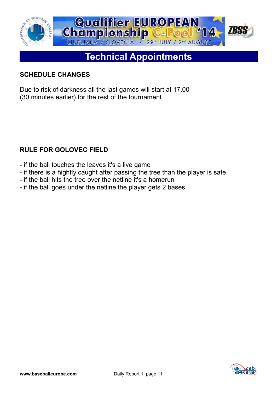

# **Technical Appointments**

### **SCHEDULE CHANGES**

Due to risk of darkness all the last games will start at 17.00 (30 minutes earlier) for the rest of the tournament

### **RULE FOR GOLOVEC FIELD**

- if the ball touches the leaves it's a live game
- if there is a highfly caught after passing the tree than the player is safe
- if the ball hits the tree over the netline it's a homerun
- if the ball goes under the netline the player gets 2 bases

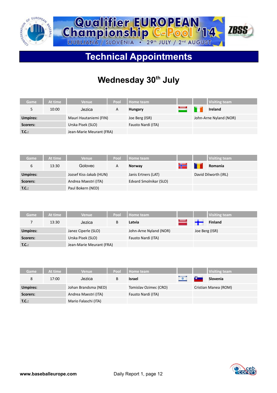



# **Technical Appointments**

# **Wednesday 30th July**

| Game            | At time | <b>Venue</b>             | Pool | Home team          |  | <b>Visiting team</b>   |
|-----------------|---------|--------------------------|------|--------------------|--|------------------------|
|                 | 10:00   | Jezica                   | A    | Hungary            |  | <b>Ireland</b>         |
| <b>Umpires:</b> |         | Mauri Hautaniemi (FIN)   |      | Joe Berg (ISR)     |  | John-Arne Nyland (NOR) |
| Scorers:        |         | Urska Pisek (SLO)        |      | Fausto Nardi (ITA) |  |                        |
| T.C.:           |         | Jean-Marie Meurant (FRA) |      |                    |  |                        |

| Game            | At time | <b>Venue</b>            | Pool | Home team              |     | <b>Visiting team</b> |
|-----------------|---------|-------------------------|------|------------------------|-----|----------------------|
| 6               | 13:30   | Golovec                 | A    | <b>Norway</b>          | كرد | Romania              |
| <b>Umpires:</b> |         | Jozsef Kiss-Jakab (HUN) |      | Janis Ertners (LAT)    |     | David Dilworth (IRL) |
| Scorers:        |         | Andrea Maestri (ITA)    |      | Edvard Smolnikar (SLO) |     |                      |
| T.C.:           |         | Paul Bokern (NED)       |      |                        |     |                      |

| Game            | At time | <b>Venue</b>             | Pool | Home team              |                | <b>Visiting team</b> |
|-----------------|---------|--------------------------|------|------------------------|----------------|----------------------|
|                 | 13:30   | Jezica                   | B    | Latvia                 | $\rightarrow$  | <b>Finland</b>       |
| <b>Umpires:</b> |         | Janez Ciperle (SLO)      |      | John-Arne Nyland (NOR) | Joe Berg (ISR) |                      |
| Scorers:        |         | Urska Pisek (SLO)        |      | Fausto Nardi (ITA)     |                |                      |
| T.C.:           |         | Jean-Marie Meurant (FRA) |      |                        |                |                      |

| Game            | At time | <b>Venue</b>         | Pool | Home team             |            | <b>Visiting team</b> |
|-----------------|---------|----------------------|------|-----------------------|------------|----------------------|
| 8               | 17:00   | Jezica               | B    | <b>Israel</b>         | <b>Car</b> | Slovenia             |
| <b>Umpires:</b> |         | Johan Brandsma (NED) |      | Tomislav Ozimec (CRO) |            | Cristian Manea (ROM) |
| Scorers:        |         | Andrea Maestri (ITA) |      | Fausto Nardi (ITA)    |            |                      |
| T.C.:           |         | Mario Falaschi (ITA) |      |                       |            |                      |